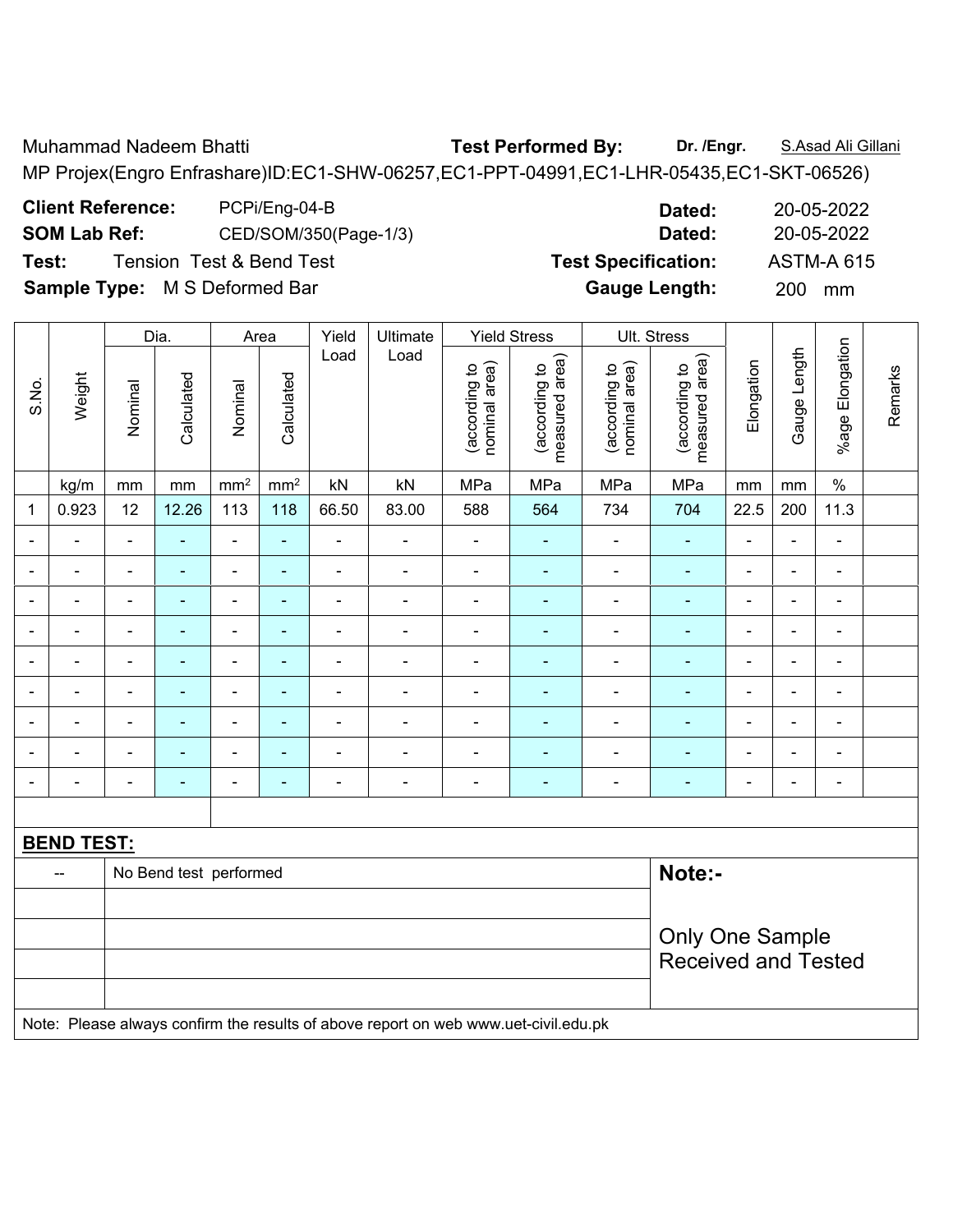Muhammad Nadeem Bhatti **Test Performed By: Dr. /Engr.** S.Asad Ali Gillani

MP Projex(Engro Enfrashare)ID:EC1-SHW-06257,EC1-PPT-04991,EC1-LHR-05435,EC1-SKT-06526)

**Client Reference:** PCPi/Eng-04-B **Dated:** 20-05-2022 **SOM Lab Ref:** CED/SOM/350(Page-1/3) **Dated:** 20-05-2022 **Test:** Tension Test & Bend Test **Test Specification:** ASTM-A 615

**Gauge Length:** 200 mm

|  | <b>Sample Type: M S Deformed Bar</b> |
|--|--------------------------------------|

|                          |                   |                | Dia.                   |                 | Area            | Yield          | Ultimate                                                                            | <b>Yield Stress</b><br>Ult. Stress<br>Load |                                 |                                |                                 |                |                |                          |         |
|--------------------------|-------------------|----------------|------------------------|-----------------|-----------------|----------------|-------------------------------------------------------------------------------------|--------------------------------------------|---------------------------------|--------------------------------|---------------------------------|----------------|----------------|--------------------------|---------|
| S.No.                    | Weight            | Nominal        | Calculated             | Nominal         | Calculated      | Load           |                                                                                     | nominal area)<br>(according to             | measured area)<br>(according to | nominal area)<br>(according to | measured area)<br>(according to | Elongation     | Gauge Length   | %age Elongation          | Remarks |
|                          | kg/m              | $\,mm$         | $\,mm$                 | mm <sup>2</sup> | mm <sup>2</sup> | kN             | kN                                                                                  | MPa                                        | MPa                             | MPa                            | MPa                             | $\mathsf{mm}$  | mm             | $\%$                     |         |
| 1                        | 0.923             | 12             | 12.26                  | 113             | 118             | 66.50          | 83.00                                                                               | 588                                        | 564                             | 734                            | 704                             | 22.5           | 200            | 11.3                     |         |
| ٠                        | ä,                | $\blacksquare$ | ÷                      | $\blacksquare$  | ä,              | L,             | $\blacksquare$                                                                      | $\qquad \qquad \blacksquare$               | $\blacksquare$                  | $\blacksquare$                 | $\blacksquare$                  | $\blacksquare$ | $\blacksquare$ | $\frac{1}{2}$            |         |
|                          | $\blacksquare$    | $\blacksquare$ | $\blacksquare$         | $\blacksquare$  | $\blacksquare$  | ÷              | ÷,                                                                                  | $\frac{1}{2}$                              | $\blacksquare$                  | $\frac{1}{2}$                  | $\blacksquare$                  | ä,             | $\blacksquare$ | $\blacksquare$           |         |
|                          | ä,                | $\blacksquare$ | ÷,                     | $\blacksquare$  | $\blacksquare$  | ä,             | ÷,                                                                                  | $\frac{1}{2}$                              | ٠                               | $\overline{\phantom{a}}$       | $\blacksquare$                  | $\overline{a}$ | $\blacksquare$ | $\overline{\phantom{a}}$ |         |
|                          |                   |                | $\blacksquare$         | $\blacksquare$  | $\blacksquare$  | $\overline{a}$ | L.                                                                                  | $\blacksquare$                             | ۰                               |                                | $\blacksquare$                  |                | $\blacksquare$ | $\blacksquare$           |         |
|                          | L,                | $\blacksquare$ | $\blacksquare$         | $\blacksquare$  | ÷               | $\blacksquare$ | $\blacksquare$                                                                      | $\blacksquare$                             | ä,                              | $\blacksquare$                 | $\blacksquare$                  | $\blacksquare$ | $\blacksquare$ | $\blacksquare$           |         |
| $\overline{\phantom{a}}$ | ÷                 | $\blacksquare$ | $\blacksquare$         | $\blacksquare$  | ä,              | ä,             | $\blacksquare$                                                                      | $\blacksquare$                             | ۰                               | $\blacksquare$                 | $\blacksquare$                  | L,             | $\blacksquare$ | $\blacksquare$           |         |
|                          | -                 | $\overline{a}$ | $\blacksquare$         | $\blacksquare$  | $\blacksquare$  | ÷,             | ÷,                                                                                  | $\qquad \qquad \blacksquare$               | ä,                              | $\overline{\phantom{a}}$       | $\blacksquare$                  | ÷              | ÷,             | $\blacksquare$           |         |
|                          | L,                | $\blacksquare$ | $\blacksquare$         | $\blacksquare$  | $\blacksquare$  | ä,             | ÷,                                                                                  | $\blacksquare$                             | ä,                              | $\frac{1}{2}$                  | $\blacksquare$                  | L,             | ä,             | $\blacksquare$           |         |
|                          | ÷                 | $\blacksquare$ | $\blacksquare$         | $\blacksquare$  | ÷               | ÷              | ÷,                                                                                  | $\blacksquare$                             | ٠                               | ÷                              | $\blacksquare$                  | $\overline{a}$ | $\blacksquare$ | $\overline{\phantom{a}}$ |         |
|                          |                   |                |                        |                 |                 |                |                                                                                     |                                            |                                 |                                |                                 |                |                |                          |         |
|                          | <b>BEND TEST:</b> |                |                        |                 |                 |                |                                                                                     |                                            |                                 |                                |                                 |                |                |                          |         |
|                          | $-$               |                | No Bend test performed |                 |                 |                |                                                                                     |                                            |                                 |                                | Note:-                          |                |                |                          |         |
|                          |                   |                |                        |                 |                 |                |                                                                                     |                                            |                                 |                                |                                 |                |                |                          |         |
|                          |                   |                |                        |                 |                 |                |                                                                                     |                                            |                                 |                                | <b>Only One Sample</b>          |                |                |                          |         |
|                          |                   |                |                        |                 |                 |                |                                                                                     |                                            |                                 |                                | <b>Received and Tested</b>      |                |                |                          |         |
|                          |                   |                |                        |                 |                 |                |                                                                                     |                                            |                                 |                                |                                 |                |                |                          |         |
|                          |                   |                |                        |                 |                 |                | Note: Please always confirm the results of above report on web www.uet-civil.edu.pk |                                            |                                 |                                |                                 |                |                |                          |         |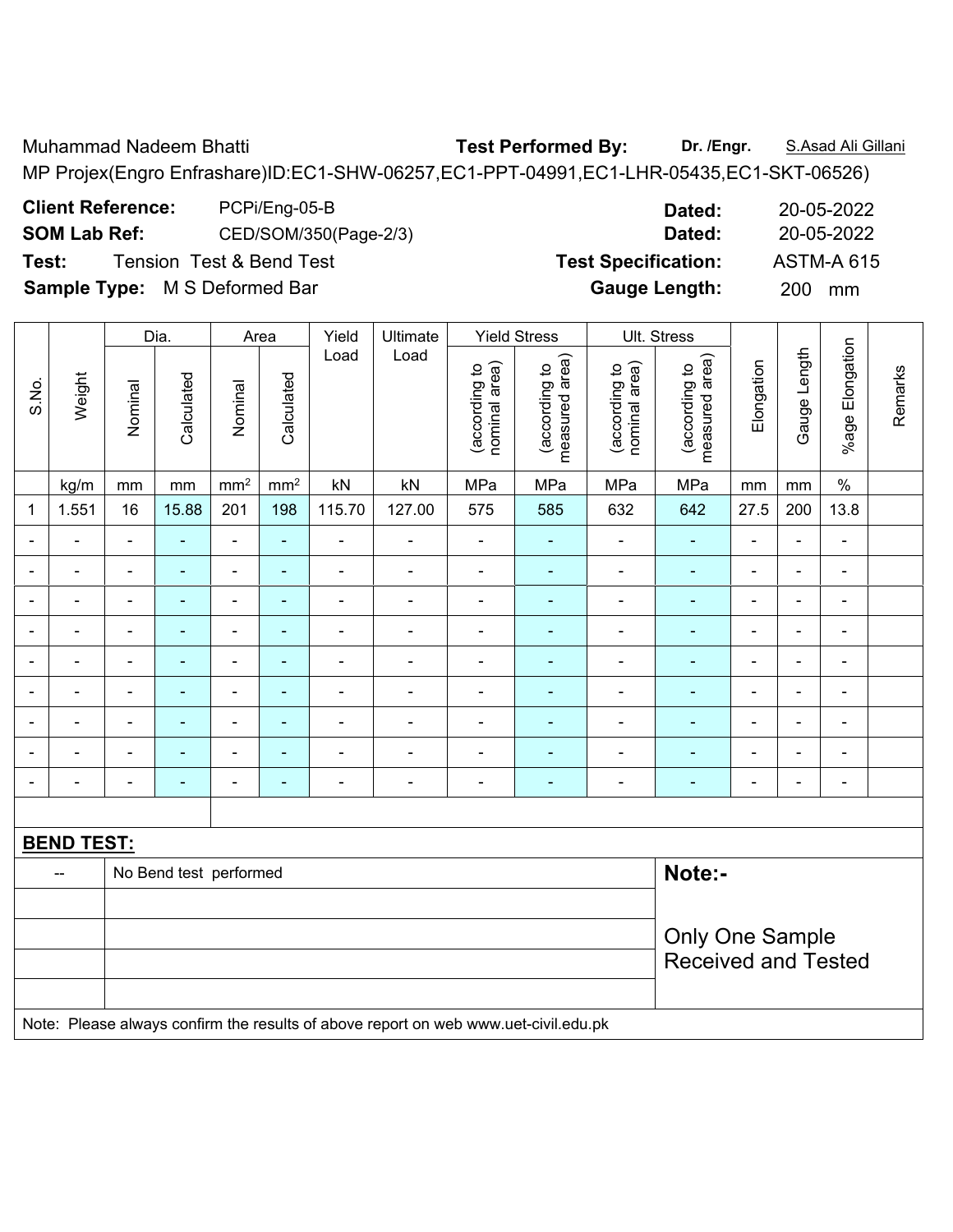Muhammad Nadeem Bhatti **Test Performed By: Dr. /Engr.** S.Asad Ali Gillani

MP Projex(Engro Enfrashare)ID:EC1-SHW-06257,EC1-PPT-04991,EC1-LHR-05435,EC1-SKT-06526)

**Client Reference:** PCPi/Eng-05-B **Dated:** 20-05-2022 **SOM Lab Ref:** CED/SOM/350(Page-2/3) **Dated:** 20-05-2022 **Test:** Tension Test & Bend Test **Test Specification:** ASTM-A 615

|                |                   |                | Dia.                   |                          | Area            | Yield                    | Ultimate                                                                            |                                | <b>Yield Stress</b>             |                                | Ult. Stress                     |                          |                |                          |         |
|----------------|-------------------|----------------|------------------------|--------------------------|-----------------|--------------------------|-------------------------------------------------------------------------------------|--------------------------------|---------------------------------|--------------------------------|---------------------------------|--------------------------|----------------|--------------------------|---------|
| S.No.          | Weight            | Nominal        | Calculated             | Nominal                  | Calculated      | Load                     | Load                                                                                | nominal area)<br>(according to | measured area)<br>(according to | (according to<br>nominal area) | measured area)<br>(according to | Elongation               | Gauge Length   | %age Elongation          | Remarks |
|                | kg/m              | mm             | mm                     | $\text{mm}^2$            | mm <sup>2</sup> | kN                       | kN                                                                                  | MPa                            | MPa                             | MPa                            | MPa                             | mm                       | mm             | $\%$                     |         |
| 1              | 1.551             | 16             | 15.88                  | 201                      | 198             | 115.70                   | 127.00                                                                              | 575                            | 585                             | 632                            | 642                             | 27.5                     | 200            | 13.8                     |         |
| $\blacksquare$ |                   | $\blacksquare$ | $\blacksquare$         | $\blacksquare$           | $\blacksquare$  | $\blacksquare$           | Ē,                                                                                  | $\blacksquare$                 | $\blacksquare$                  | $\blacksquare$                 | $\blacksquare$                  | $\blacksquare$           | $\blacksquare$ | $\blacksquare$           |         |
|                |                   | $\blacksquare$ | L,                     | $\blacksquare$           | $\blacksquare$  | ÷                        | Ē,                                                                                  | $\blacksquare$                 | $\sim$                          | ä,                             | $\blacksquare$                  | ۰                        | ÷              | $\blacksquare$           |         |
|                |                   | $\blacksquare$ |                        | $\blacksquare$           | ۰               | ÷                        |                                                                                     | $\blacksquare$                 |                                 | $\blacksquare$                 | ۰                               | ۰                        | ÷              | $\blacksquare$           |         |
| ۰              |                   | $\blacksquare$ | ٠                      | $\blacksquare$           | ۰               | $\blacksquare$           | $\overline{\phantom{0}}$                                                            | $\blacksquare$                 | $\blacksquare$                  | $\blacksquare$                 | $\blacksquare$                  | ۰                        | $\blacksquare$ | $\blacksquare$           |         |
| $\blacksquare$ | $\blacksquare$    | $\blacksquare$ | ÷                      | $\overline{\phantom{a}}$ | ٠               | $\blacksquare$           | ä,                                                                                  | $\blacksquare$                 | $\blacksquare$                  | $\blacksquare$                 | $\blacksquare$                  | $\blacksquare$           | L.             | $\blacksquare$           |         |
| ÷              |                   | $\blacksquare$ | ä,                     | $\overline{\phantom{a}}$ | $\blacksquare$  | ÷,                       | $\blacksquare$                                                                      | $\blacksquare$                 | $\blacksquare$                  | $\blacksquare$                 | $\blacksquare$                  | $\overline{\phantom{a}}$ | ÷,             | $\blacksquare$           |         |
|                |                   | $\blacksquare$ | $\blacksquare$         | $\blacksquare$           | $\blacksquare$  | $\overline{\phantom{0}}$ | ÷                                                                                   | $\blacksquare$                 | $\blacksquare$                  | $\blacksquare$                 | $\blacksquare$                  | ۰                        | ÷              | $\overline{\phantom{a}}$ |         |
|                |                   |                | ä,                     | $\blacksquare$           | $\blacksquare$  | $\blacksquare$           |                                                                                     | Ē,                             | $\blacksquare$                  | $\blacksquare$                 | ۰                               |                          | $\blacksquare$ | $\blacksquare$           |         |
|                |                   |                |                        | ٠                        | ۰               |                          | $\blacksquare$                                                                      |                                |                                 |                                | ٠                               | $\blacksquare$           | $\blacksquare$ | $\blacksquare$           |         |
|                |                   |                |                        |                          |                 |                          |                                                                                     |                                |                                 |                                |                                 |                          |                |                          |         |
|                | <b>BEND TEST:</b> |                |                        |                          |                 |                          |                                                                                     |                                |                                 |                                |                                 |                          |                |                          |         |
|                | --                |                | No Bend test performed |                          |                 |                          |                                                                                     |                                |                                 |                                | Note:-                          |                          |                |                          |         |
|                |                   |                |                        |                          |                 |                          |                                                                                     |                                |                                 |                                |                                 |                          |                |                          |         |
|                |                   |                |                        |                          |                 |                          |                                                                                     |                                |                                 |                                | <b>Only One Sample</b>          |                          |                |                          |         |
|                |                   |                |                        |                          |                 |                          |                                                                                     |                                |                                 |                                | <b>Received and Tested</b>      |                          |                |                          |         |
|                |                   |                |                        |                          |                 |                          |                                                                                     |                                |                                 |                                |                                 |                          |                |                          |         |
|                |                   |                |                        |                          |                 |                          | Note: Please always confirm the results of above report on web www.uet-civil.edu.pk |                                |                                 |                                |                                 |                          |                |                          |         |

**Sample Type:** M S Deformed Bar **Gauge Length:** 200 mm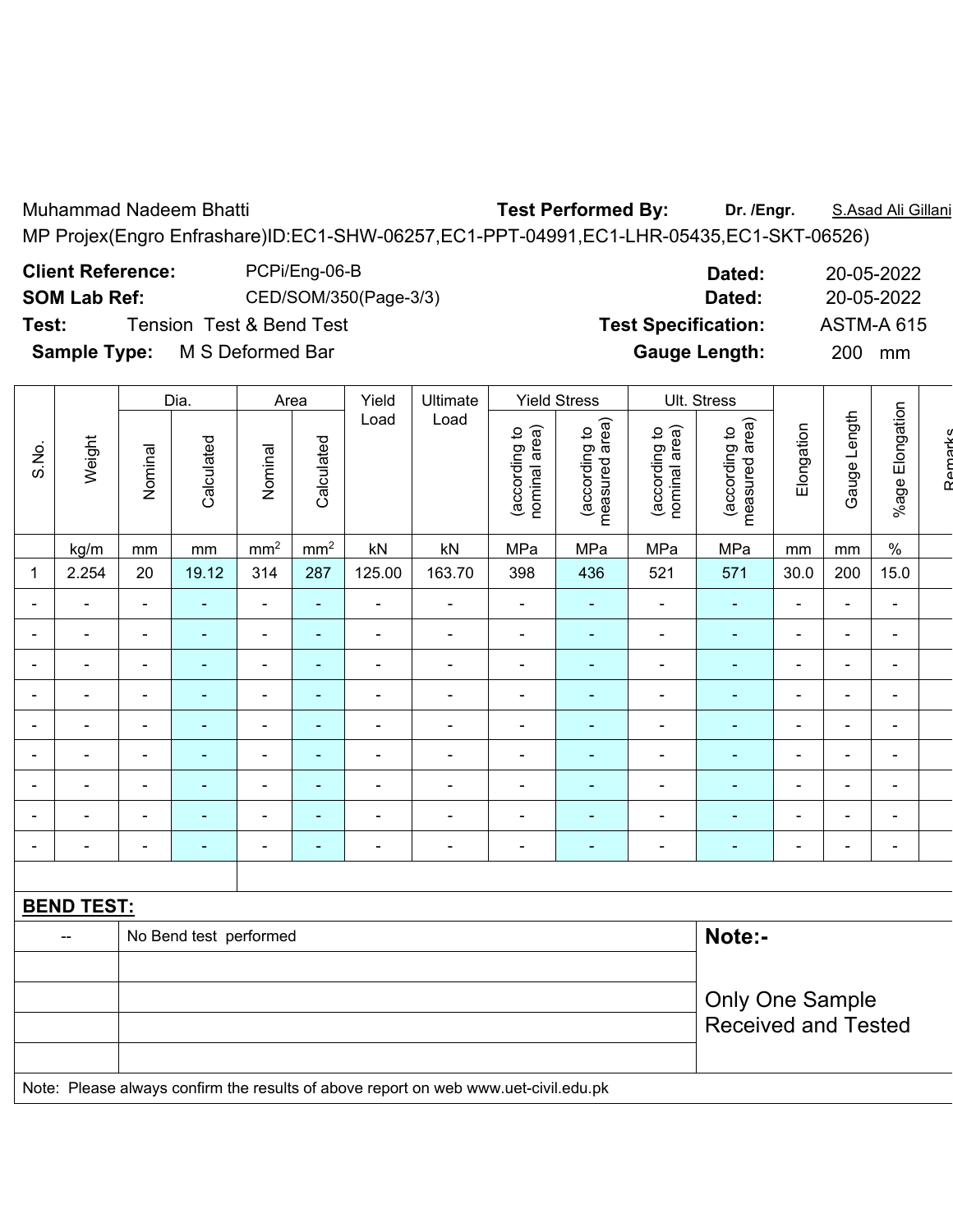Muhammad Nadeem Bhatti **Natistian and Test Performed By:** Dr. /Engr. **S.Asad Ali Gillani** MP Projex(Engro Enfrashare)ID:EC1-SHW-06257,EC1-PPT-04991,EC1-LHR-05435,EC1-SKT-06526)

**Client Reference:** PCPi/Eng-06-B **Dated:** 20-05-2022

**SOM Lab Ref:** CED/SOM/350(Page-3/3) **Dated:** 20-05-2022

**Test:** Tension Test & Bend Test **Test Specification:** ASTM-A 615

**Sample Type:** M S Deformed Bar **Gauge Length:** 200 mm

|       |                          |                              | Dia.       | Area                     |                          | Yield                    | Ultimate                 |                                | <b>Yield Stress</b>             |                                | Ult. Stress                        |                          |                          |                          |  |
|-------|--------------------------|------------------------------|------------|--------------------------|--------------------------|--------------------------|--------------------------|--------------------------------|---------------------------------|--------------------------------|------------------------------------|--------------------------|--------------------------|--------------------------|--|
| S.No. | Weight                   | Nominal                      | Calculated | Nominal                  | Calculated               | Load                     | Load                     | nominal area)<br>(according to | measured area)<br>(according to | nominal area)<br>(according to | area)<br>(according to<br>measured | Elongation               | ength<br>┙<br>Gauge      | Elongation<br>$%$ age    |  |
|       | kg/m                     | mm                           | mm         | mm <sup>2</sup>          | mm <sup>2</sup>          | $\mathsf{k}\mathsf{N}$   | $\mathsf{k}\mathsf{N}$   | MPa                            | MPa                             | MPa                            | MPa                                | mm                       | mm                       | $\%$                     |  |
| 1     | 2.254                    | 20                           | 19.12      | 314                      | 287                      | 125.00                   | 163.70                   | 398                            | 436                             | 521                            | 571                                | 30.0                     | 200                      | 15.0                     |  |
|       | $\overline{\phantom{0}}$ | $\blacksquare$               |            | ۰                        | ٠                        |                          | $\overline{\phantom{0}}$ | $\overline{\phantom{a}}$       | $\blacksquare$                  | $\blacksquare$                 | $\blacksquare$                     | $\blacksquare$           | $\blacksquare$           | $\blacksquare$           |  |
|       | $\overline{\phantom{0}}$ | $\qquad \qquad \blacksquare$ |            | -                        | $\blacksquare$           |                          |                          | $\overline{\phantom{a}}$       | $\blacksquare$                  | $\overline{\phantom{0}}$       | $\blacksquare$                     | $\overline{\phantom{0}}$ | $\blacksquare$           | $\blacksquare$           |  |
|       |                          | -                            |            | -                        |                          |                          |                          |                                |                                 |                                |                                    | $\overline{\phantom{0}}$ |                          | ٠                        |  |
|       |                          |                              |            | $\overline{\phantom{0}}$ |                          |                          |                          |                                |                                 |                                |                                    |                          |                          | ۰                        |  |
|       |                          | -                            |            | -                        | -                        |                          |                          | $\overline{\phantom{a}}$       | $\blacksquare$                  |                                | $\overline{\phantom{0}}$           | $\overline{\phantom{0}}$ |                          | $\blacksquare$           |  |
|       |                          | $\blacksquare$               |            | ۰                        | $\overline{\phantom{0}}$ | $\overline{\phantom{0}}$ |                          | $\overline{\phantom{a}}$       | ۰                               |                                | $\blacksquare$                     | $\blacksquare$           | $\blacksquare$           | $\sim$                   |  |
|       |                          | $\qquad \qquad \blacksquare$ |            | -                        | $\blacksquare$           |                          |                          | $\overline{\phantom{a}}$       | $\overline{\phantom{0}}$        |                                | $\overline{\phantom{0}}$           | $\overline{\phantom{0}}$ | $\overline{\phantom{0}}$ | $\overline{\phantom{a}}$ |  |
|       |                          | $\overline{\phantom{0}}$     |            | -                        | $\blacksquare$           |                          |                          | $\blacksquare$                 |                                 |                                | $\overline{\phantom{0}}$           | $\overline{\phantom{0}}$ | $\overline{\phantom{0}}$ | $\overline{\phantom{a}}$ |  |
|       |                          |                              |            |                          |                          |                          |                          |                                |                                 |                                |                                    |                          |                          | $\blacksquare$           |  |

| <b>BEND TEST:</b> |                                                                                     |                            |
|-------------------|-------------------------------------------------------------------------------------|----------------------------|
|                   | No Bend test performed                                                              | Note:-                     |
|                   |                                                                                     |                            |
|                   |                                                                                     | <b>Only One Sample</b>     |
|                   |                                                                                     | <b>Received and Tested</b> |
|                   |                                                                                     |                            |
|                   | Note: Please always confirm the results of above report on web www.uet-civil.edu.pk |                            |

Remarks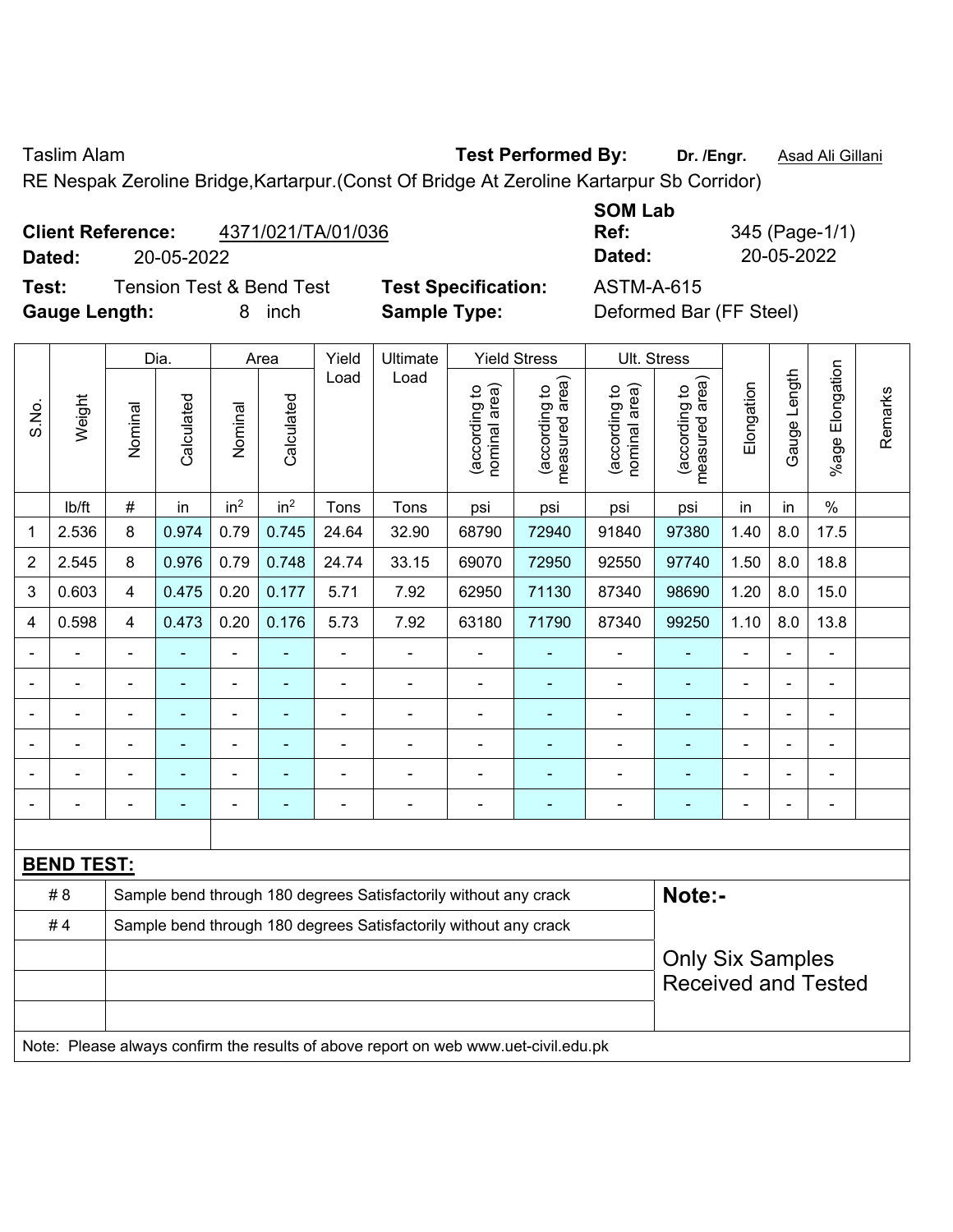Taslim Alam **Test Performed By: Dr. /Engr.** Asad Ali Gillani

RE Nespak Zeroline Bridge,Kartarpur.(Const Of Bridge At Zeroline Kartarpur Sb Corridor)

# **Client Reference:** 4371/021/TA/01/036

**Test:** Tension Test & Bend Test **Test Specification:** ASTM-A-615 **Gauge Length:** 8 inch **Sample Type:** Deformed Bar (FF Steel)

**SOM Lab Ref:** 345 (Page-1/1) **Dated:** 20-05-2022 **Dated:** 20-05-2022

|                |                   |                         | Dia.           |                 | Area            | Yield          | Ultimate                                                                            |                                | <b>Yield Stress</b>             |                                | Ult. Stress                                           |                |              |                          |         |
|----------------|-------------------|-------------------------|----------------|-----------------|-----------------|----------------|-------------------------------------------------------------------------------------|--------------------------------|---------------------------------|--------------------------------|-------------------------------------------------------|----------------|--------------|--------------------------|---------|
| S.No.          | Weight            | Nominal                 | Calculated     | Nominal         | Calculated      | Load           | Load                                                                                | nominal area)<br>(according to | measured area)<br>(according to | nominal area)<br>(according to | (according to<br>measured area)<br>measured           | Elongation     | Gauge Length | Elongation<br>$%$ age    | Remarks |
|                | lb/ft             | $\#$                    | in             | in <sup>2</sup> | in <sup>2</sup> | Tons           | Tons                                                                                | psi                            | psi                             | psi                            | psi                                                   | in             | in           | $\%$                     |         |
| 1              | 2.536             | 8                       | 0.974          | 0.79            | 0.745           | 24.64          | 32.90                                                                               | 68790                          | 72940                           | 91840                          | 97380                                                 | 1.40           | 8.0          | 17.5                     |         |
| $\overline{2}$ | 2.545             | 8                       | 0.976          | 0.79            | 0.748           | 24.74          | 33.15                                                                               | 69070                          | 72950                           | 92550                          | 97740                                                 | 1.50           | 8.0          | 18.8                     |         |
| 3              | 0.603             | $\overline{4}$          | 0.475          | 0.20            | 0.177           | 5.71           | 7.92                                                                                | 62950                          | 71130                           | 87340                          | 98690                                                 | 1.20           | 8.0          | 15.0                     |         |
| 4              | 0.598             | $\overline{\mathbf{4}}$ | 0.473          | 0.20            | 0.176           | 5.73           | 7.92                                                                                | 63180                          | 71790                           | 87340                          | 99250                                                 | 1.10           | 8.0          | 13.8                     |         |
|                | $\blacksquare$    | $\blacksquare$          | ÷,             | $\blacksquare$  | ÷,              | $\blacksquare$ | $\blacksquare$                                                                      | ÷                              |                                 | $\blacksquare$                 | $\blacksquare$                                        | $\blacksquare$ |              | $\blacksquare$           |         |
| $\blacksquare$ | $\overline{a}$    | ä,                      | $\blacksquare$ | $\blacksquare$  | $\blacksquare$  | $\blacksquare$ | ä,                                                                                  | ä,                             | ÷                               | $\blacksquare$                 | $\blacksquare$                                        | L.             |              | $\blacksquare$           |         |
|                |                   |                         |                |                 | ۳               |                | ÷                                                                                   | L,                             | ÷                               | $\blacksquare$                 | ä,                                                    |                |              | ä,                       |         |
|                |                   |                         |                |                 |                 |                |                                                                                     |                                |                                 |                                | ٠                                                     |                |              | L,                       |         |
|                |                   |                         |                |                 |                 |                |                                                                                     |                                |                                 | ۰                              | ٠                                                     |                |              | Ē,                       |         |
| $\blacksquare$ |                   | $\blacksquare$          | $\blacksquare$ | ÷               | ۳               |                | $\blacksquare$                                                                      | Ē,                             | $\blacksquare$                  | ۰                              | ٠                                                     | $\blacksquare$ |              | $\overline{\phantom{a}}$ |         |
|                |                   |                         |                |                 |                 |                |                                                                                     |                                |                                 |                                |                                                       |                |              |                          |         |
|                | <b>BEND TEST:</b> |                         |                |                 |                 |                |                                                                                     |                                |                                 |                                |                                                       |                |              |                          |         |
|                | # 8               |                         |                |                 |                 |                | Sample bend through 180 degrees Satisfactorily without any crack                    |                                |                                 |                                | Note:-                                                |                |              |                          |         |
|                | #4                |                         |                |                 |                 |                | Sample bend through 180 degrees Satisfactorily without any crack                    |                                |                                 |                                |                                                       |                |              |                          |         |
|                |                   |                         |                |                 |                 |                |                                                                                     |                                |                                 |                                | <b>Only Six Samples</b><br><b>Received and Tested</b> |                |              |                          |         |
|                |                   |                         |                |                 |                 |                | Note: Please always confirm the results of above report on web www.uet-civil.edu.pk |                                |                                 |                                |                                                       |                |              |                          |         |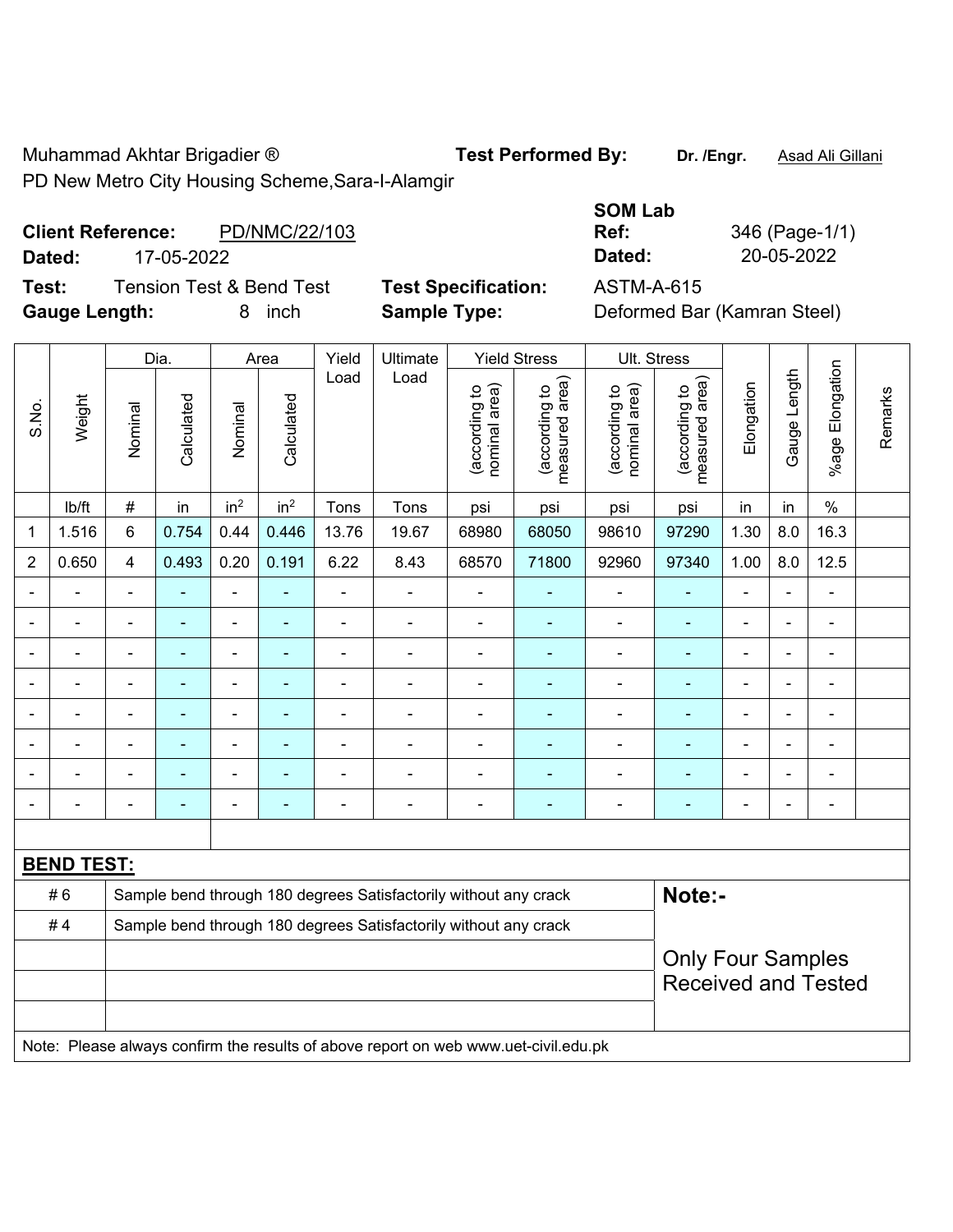Muhammad Akhtar Brigadier ® **Test Performed By: Dr. /Engr.** Asad Ali Gillani PD New Metro City Housing Scheme,Sara-I-Alamgir

### **Client Reference:** PD/NMC/22/103 **Dated:** 17-05-2022 **Dated:** 20-05-2022

**Test:** Tension Test & Bend Test **Test Specification:** ASTM-A-615 **Gauge Length:** 8 inch **Sample Type:** Deformed Bar (Kamran Steel)

|                |                   |                | Dia.           |                 | Area            | Yield          | Ultimate                                                         |                                | <b>Yield Stress</b>                | Ult. Stress                    |                                 |                |                |                          |         |
|----------------|-------------------|----------------|----------------|-----------------|-----------------|----------------|------------------------------------------------------------------|--------------------------------|------------------------------------|--------------------------------|---------------------------------|----------------|----------------|--------------------------|---------|
| S.No.          | Weight            | Nominal        | Calculated     | Nominal         | Calculated      | Load           | Load                                                             | nominal area)<br>(according to | area)<br>(according to<br>measured | (according to<br>nominal area) | (according to<br>measured area) | Elongation     | Gauge Length   | Elongation<br>$%$ age    | Remarks |
|                | lb/ft             | $\#$           | in             | in <sup>2</sup> | in <sup>2</sup> | Tons           | Tons                                                             | psi                            | psi                                | psi                            | psi                             | in             | in             | $\frac{0}{0}$            |         |
| 1              | 1.516             | 6              | 0.754          | 0.44            | 0.446           | 13.76          | 19.67                                                            | 68980                          | 68050                              | 98610                          | 97290                           | 1.30           | 8.0            | 16.3                     |         |
| $\overline{2}$ | 0.650             | 4              | 0.493          | 0.20            | 0.191           | 6.22           | 8.43                                                             | 68570                          | 71800                              | 92960                          | 97340                           | 1.00           | 8.0            | 12.5                     |         |
|                |                   | ä,             |                | ä,              | ۰               | $\blacksquare$ | ä,                                                               | $\blacksquare$                 |                                    | ä,                             | $\blacksquare$                  | ÷              |                | $\blacksquare$           |         |
|                |                   | $\blacksquare$ | ۰              | $\blacksquare$  | ۰               | $\blacksquare$ | ÷                                                                | $\blacksquare$                 | ٠                                  | $\overline{a}$                 | $\blacksquare$                  | $\blacksquare$ |                | $\blacksquare$           |         |
|                |                   | $\blacksquare$ | $\blacksquare$ | $\blacksquare$  | $\blacksquare$  | $\blacksquare$ | $\blacksquare$                                                   | $\blacksquare$                 | $\blacksquare$                     | $\blacksquare$                 | $\blacksquare$                  | $\blacksquare$ |                | $\overline{\phantom{a}}$ |         |
|                |                   | $\blacksquare$ | $\blacksquare$ | ۰               | $\blacksquare$  |                | -                                                                |                                |                                    |                                |                                 | -              |                | ۰                        |         |
|                |                   | ä,             | $\blacksquare$ | ۰               | ۰               |                | $\blacksquare$                                                   |                                |                                    | $\blacksquare$                 | $\blacksquare$                  | $\blacksquare$ |                | $\blacksquare$           |         |
|                |                   | $\blacksquare$ | $\blacksquare$ | ۰               | ٠               |                | $\blacksquare$                                                   | $\blacksquare$                 | ٠                                  | $\overline{\phantom{0}}$       | $\overline{\phantom{a}}$        | $\blacksquare$ |                | $\blacksquare$           |         |
|                | $\blacksquare$    | ä,             | $\blacksquare$ | ۰               | ۰               | ٠              | $\blacksquare$                                                   | $\blacksquare$                 | ٠                                  | $\overline{a}$                 | $\blacksquare$                  | $\blacksquare$ | $\blacksquare$ | ÷                        |         |
|                |                   | $\blacksquare$ |                | ۰               | ۰               | ٠              | ÷                                                                | $\blacksquare$                 | $\overline{a}$                     | $\overline{\phantom{0}}$       | $\overline{\phantom{a}}$        | ä,             | $\blacksquare$ | $\overline{\phantom{a}}$ |         |
|                |                   |                |                |                 |                 |                |                                                                  |                                |                                    |                                |                                 |                |                |                          |         |
|                | <b>BEND TEST:</b> |                |                |                 |                 |                |                                                                  |                                |                                    |                                |                                 |                |                |                          |         |
|                | #6                |                |                |                 |                 |                | Sample bend through 180 degrees Satisfactorily without any crack |                                |                                    |                                | Note:-                          |                |                |                          |         |
|                | #4                |                |                |                 |                 |                | Sample bend through 180 degrees Satisfactorily without any crack |                                |                                    |                                |                                 |                |                |                          |         |
|                |                   |                |                |                 |                 |                |                                                                  |                                |                                    |                                | <b>Only Four Samples</b>        |                |                |                          |         |
|                |                   |                |                |                 |                 |                |                                                                  |                                |                                    |                                | <b>Received and Tested</b>      |                |                |                          |         |

Note: Please always confirm the results of above report on web www.uet-civil.edu.pk

**SOM Lab Ref:** 346 (Page-1/1)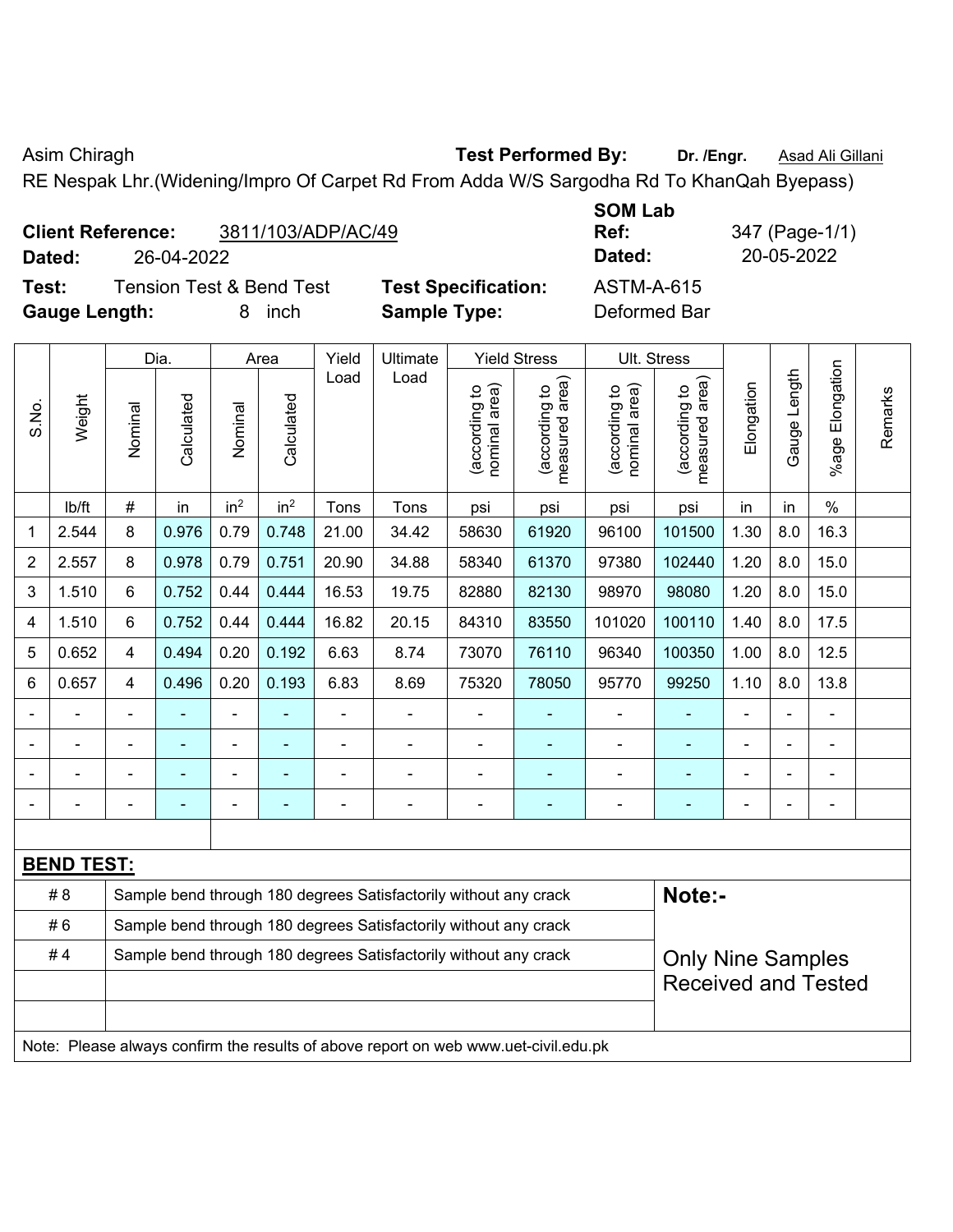Asim Chiragh **Test Performed By:** Dr. /Engr. **Asad Ali Gillani** Asim Chiragh

RE Nespak Lhr.(Widening/Impro Of Carpet Rd From Adda W/S Sargodha Rd To KhanQah Byepass)

|                          |            |              |                    | UVIII LUM |                                                                 |  |
|--------------------------|------------|--------------|--------------------|-----------|-----------------------------------------------------------------|--|
| <b>Client Reference:</b> |            |              | 3811/103/ADP/AC/49 | Ref:      | 347 (Page-1/                                                    |  |
| Dated:                   | 26-04-2022 |              |                    | Dated:    | 20-05-2022                                                      |  |
| - -                      |            | — <u>105</u> |                    |           | $\lambda$ $\lambda$ $\tau$ $\lambda$ $\lambda$ $\lambda$ $\tau$ |  |

**Test:** Tension Test & Bend Test **Test Specification:** ASTM-A-615 **Gauge Length:** 8 inch **Sample Type:** Deformed Bar

**SOM Lab Ref:** 347 (Page-1/1)

|       |                   |                | Dia.           |                 | Area            | Yield          | Ultimate                                                                            |                                | <b>Yield Stress</b>                         |                               | Ult. Stress                                 |                |              |                       |         |
|-------|-------------------|----------------|----------------|-----------------|-----------------|----------------|-------------------------------------------------------------------------------------|--------------------------------|---------------------------------------------|-------------------------------|---------------------------------------------|----------------|--------------|-----------------------|---------|
| S.No. | Weight            | Nominal        | Calculated     | Nominal         | Calculated      | Load           | Load                                                                                | nominal area)<br>(according to | (according to<br>measured area)<br>measured | nominal area)<br>decording to | (according to<br>measured area)<br>measured | Elongation     | Gauge Length | Elongation<br>$%$ age | Remarks |
|       | lb/ft             | $\#$           | in             | in <sup>2</sup> | in <sup>2</sup> | Tons           | Tons                                                                                | psi                            | psi                                         | psi                           | psi                                         | in             | in           | $\%$                  |         |
| 1     | 2.544             | 8              | 0.976          | 0.79            | 0.748           | 21.00          | 34.42                                                                               | 58630                          | 61920                                       | 96100                         | 101500                                      | 1.30           | 8.0          | 16.3                  |         |
| 2     | 2.557             | 8              | 0.978          | 0.79            | 0.751           | 20.90          | 34.88                                                                               | 58340                          | 61370                                       | 97380                         | 102440                                      | 1.20           | 8.0          | 15.0                  |         |
| 3     | 1.510             | 6              | 0.752          | 0.44            | 0.444           | 16.53          | 19.75                                                                               | 82880                          | 82130                                       | 98970                         | 98080                                       | 1.20           | 8.0          | 15.0                  |         |
| 4     | 1.510             | 6              | 0.752          | 0.44            | 0.444           | 16.82          | 20.15                                                                               | 84310                          | 83550                                       | 101020                        | 100110                                      | 1.40           | 8.0          | 17.5                  |         |
| 5     | 0.652             | $\overline{4}$ | 0.494          | 0.20            | 0.192           | 6.63           | 8.74                                                                                | 73070                          | 76110                                       | 96340                         | 100350                                      | 1.00           | 8.0          | 12.5                  |         |
| 6     | 0.657             | $\overline{4}$ | 0.496          | 0.20            | 0.193           | 6.83           | 8.69                                                                                | 75320                          | 78050                                       | 95770                         | 99250                                       | 1.10           | 8.0          | 13.8                  |         |
|       |                   |                |                | $\blacksquare$  |                 | ÷,             | $\blacksquare$                                                                      | ä,                             | ٠                                           | $\blacksquare$                | $\blacksquare$                              |                |              | $\overline{a}$        |         |
|       |                   |                |                | $\blacksquare$  |                 | $\blacksquare$ | ÷,                                                                                  | ä,                             | $\blacksquare$                              |                               | ÷                                           |                |              | $\blacksquare$        |         |
|       |                   |                |                | $\blacksquare$  |                 | $\blacksquare$ | $\blacksquare$                                                                      | L,                             | $\blacksquare$                              | $\blacksquare$                | $\blacksquare$                              | $\blacksquare$ |              | $\blacksquare$        |         |
|       |                   | $\blacksquare$ | $\blacksquare$ | $\blacksquare$  |                 | $\blacksquare$ | $\blacksquare$                                                                      | ä,                             | ٠                                           | $\blacksquare$                | $\blacksquare$                              | $\blacksquare$ |              | $\blacksquare$        |         |
|       |                   |                |                |                 |                 |                |                                                                                     |                                |                                             |                               |                                             |                |              |                       |         |
|       | <b>BEND TEST:</b> |                |                |                 |                 |                |                                                                                     |                                |                                             |                               |                                             |                |              |                       |         |
|       | # 8               |                |                |                 |                 |                | Sample bend through 180 degrees Satisfactorily without any crack                    |                                |                                             |                               | Note:-                                      |                |              |                       |         |
|       | #6                |                |                |                 |                 |                | Sample bend through 180 degrees Satisfactorily without any crack                    |                                |                                             |                               |                                             |                |              |                       |         |
|       | #4                |                |                |                 |                 |                | Sample bend through 180 degrees Satisfactorily without any crack                    |                                |                                             |                               | <b>Only Nine Samples</b>                    |                |              |                       |         |
|       |                   |                |                |                 |                 |                |                                                                                     |                                |                                             |                               | <b>Received and Tested</b>                  |                |              |                       |         |
|       |                   |                |                |                 |                 |                |                                                                                     |                                |                                             |                               |                                             |                |              |                       |         |
|       |                   |                |                |                 |                 |                | Note: Please always confirm the results of above report on web www.uet-civil.edu.pk |                                |                                             |                               |                                             |                |              |                       |         |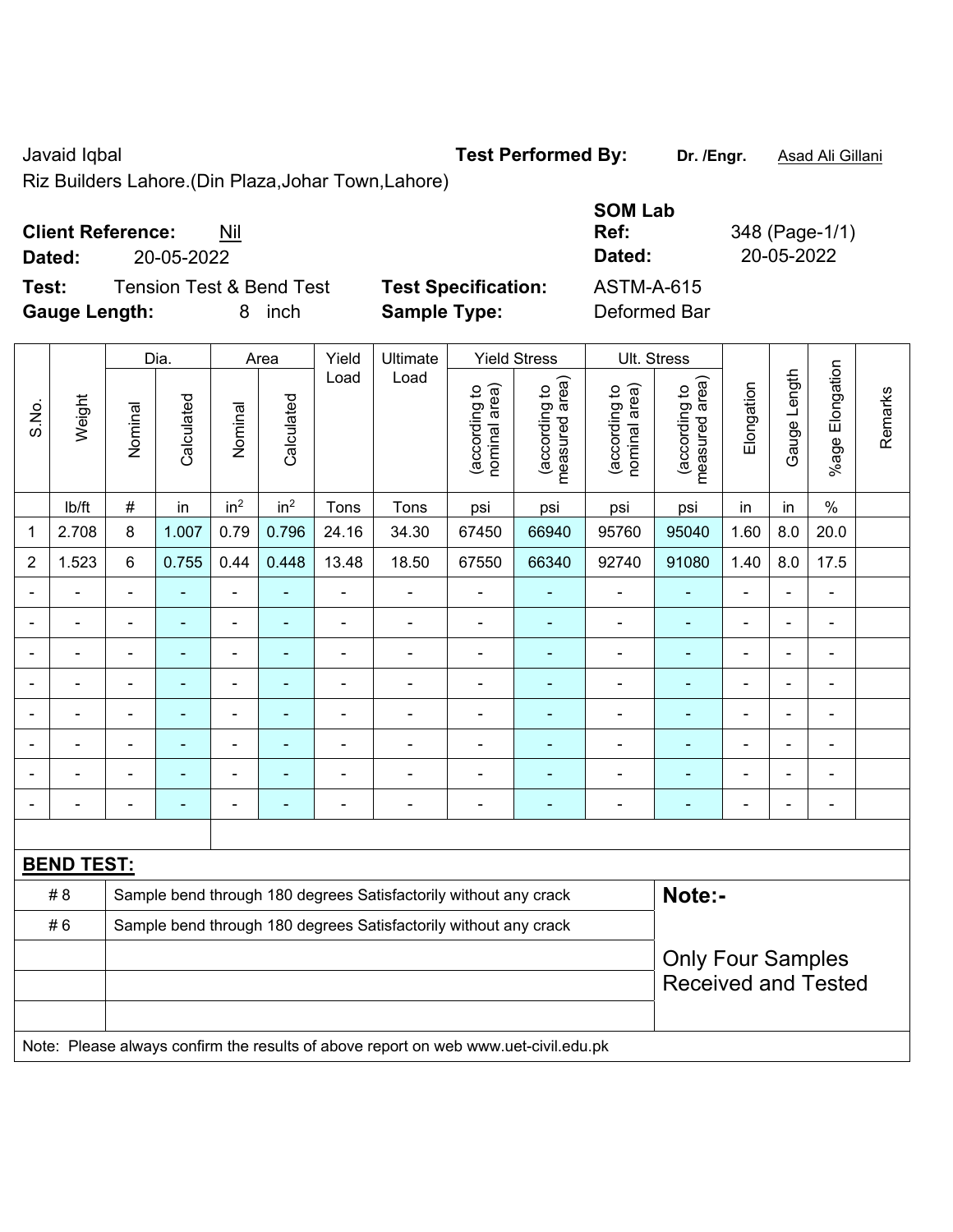Javaid Iqbal **Test Performed By: Dr. /Engr.** Asad Ali Gillani

Riz Builders Lahore.(Din Plaza,Johar Town,Lahore)

# **Client Reference:** Nil

**Test:** Tension Test & Bend Test **Test Specification: Gauge Length:** 8 inch **Sample Type:** Deformed Bar

| <b>Client Reference:</b> | Nil                      |                            | <b>SOM Lab</b><br>Ref: | 348 (Page-1/1) |
|--------------------------|--------------------------|----------------------------|------------------------|----------------|
| Dated:                   | 20-05-2022               |                            | Dated:                 | 20-05-2022     |
| Test:                    | Tension Test & Bend Test | <b>Test Specification:</b> | ASTM-A-615             |                |
| Caugo Longth:            | 8 inch                   | Sample Type:               | Deformed Rar           |                |

|                |                   |                          | Dia.           |                          | Area            | Yield          | Ultimate                                                                            |                                | <b>Yield Stress</b>             |                                | Ult. Stress                     |                |                |                              |         |
|----------------|-------------------|--------------------------|----------------|--------------------------|-----------------|----------------|-------------------------------------------------------------------------------------|--------------------------------|---------------------------------|--------------------------------|---------------------------------|----------------|----------------|------------------------------|---------|
| S.No.          | Weight            | Nominal                  | Calculated     | Nominal                  | Calculated      | Load           | Load                                                                                | nominal area)<br>(according to | (according to<br>measured area) | (according to<br>nominal area) | (according to<br>measured area) | Elongation     | Gauge Length   | Elongation<br>$%$ age        | Remarks |
|                | lb/ft             | #                        | in             | in <sup>2</sup>          | in <sup>2</sup> | Tons           | Tons                                                                                | psi                            | psi                             | psi                            | psi                             | in             | in             | $\%$                         |         |
| $\mathbf 1$    | 2.708             | 8                        | 1.007          | 0.79                     | 0.796           | 24.16          | 34.30                                                                               | 67450                          | 66940                           | 95760                          | 95040                           | 1.60           | 8.0            | 20.0                         |         |
| $\overline{2}$ | 1.523             | 6                        | 0.755          | 0.44                     | 0.448           | 13.48          | 18.50                                                                               | 67550                          | 66340                           | 92740                          | 91080                           | 1.40           | 8.0            | 17.5                         |         |
| $\blacksquare$ | ۰                 | $\blacksquare$           | $\blacksquare$ |                          | $\blacksquare$  | $\blacksquare$ | ÷.                                                                                  | $\blacksquare$                 | $\blacksquare$                  | $\blacksquare$                 | ٠                               | $\blacksquare$ | $\blacksquare$ | ÷,                           |         |
| $\blacksquare$ | $\blacksquare$    | $\blacksquare$           | ä,             | $\blacksquare$           | $\blacksquare$  | $\blacksquare$ | ÷.                                                                                  | $\blacksquare$                 | $\sim$                          | $\blacksquare$                 | $\blacksquare$                  | $\blacksquare$ | $\blacksquare$ | $\blacksquare$               |         |
| ÷              | $\overline{a}$    | $\overline{\phantom{a}}$ | ÷              | $\overline{\phantom{a}}$ | ÷               | $\blacksquare$ | $\overline{a}$                                                                      | $\blacksquare$                 | ÷                               | $\qquad \qquad \blacksquare$   | $\blacksquare$                  | $\blacksquare$ | $\blacksquare$ | $\blacksquare$               |         |
|                | ÷.                | $\blacksquare$           | $\blacksquare$ | $\blacksquare$           | ÷               | ä,             | ÷.                                                                                  | $\blacksquare$                 | ÷                               | $\blacksquare$                 | ä,                              | L.             |                | ÷,                           |         |
|                |                   |                          |                | $\blacksquare$           |                 | ä,             | ÷.                                                                                  | ä,                             | ä,                              | $\blacksquare$                 | ä,                              | $\blacksquare$ |                | ä,                           |         |
|                |                   |                          |                | $\blacksquare$           |                 |                | $\blacksquare$                                                                      | $\blacksquare$                 |                                 |                                |                                 |                |                | ä,                           |         |
|                |                   | $\overline{\phantom{0}}$ |                | $\overline{\phantom{0}}$ | ۰               |                | ۰                                                                                   | $\blacksquare$                 | ۰                               | ۰                              | $\blacksquare$                  | $\blacksquare$ | $\blacksquare$ | $\overline{\phantom{a}}$     |         |
| $\blacksquare$ |                   | $\blacksquare$           | $\blacksquare$ | $\overline{\phantom{a}}$ | ٠               | $\blacksquare$ | $\overline{\phantom{0}}$                                                            | $\blacksquare$                 | $\blacksquare$                  | $\overline{\phantom{a}}$       | $\blacksquare$                  | $\blacksquare$ | $\blacksquare$ | $\qquad \qquad \blacksquare$ |         |
|                |                   |                          |                |                          |                 |                |                                                                                     |                                |                                 |                                |                                 |                |                |                              |         |
|                | <b>BEND TEST:</b> |                          |                |                          |                 |                |                                                                                     |                                |                                 |                                |                                 |                |                |                              |         |
|                | # 8               |                          |                |                          |                 |                | Sample bend through 180 degrees Satisfactorily without any crack                    |                                |                                 |                                | Note:-                          |                |                |                              |         |
|                | #6                |                          |                |                          |                 |                | Sample bend through 180 degrees Satisfactorily without any crack                    |                                |                                 |                                |                                 |                |                |                              |         |
|                |                   |                          |                |                          |                 |                |                                                                                     |                                |                                 |                                | <b>Only Four Samples</b>        |                |                |                              |         |
|                |                   |                          |                |                          |                 |                |                                                                                     |                                |                                 |                                | <b>Received and Tested</b>      |                |                |                              |         |
|                |                   |                          |                |                          |                 |                |                                                                                     |                                |                                 |                                |                                 |                |                |                              |         |
|                |                   |                          |                |                          |                 |                | Note: Please always confirm the results of above report on web www.uet-civil.edu.pk |                                |                                 |                                |                                 |                |                |                              |         |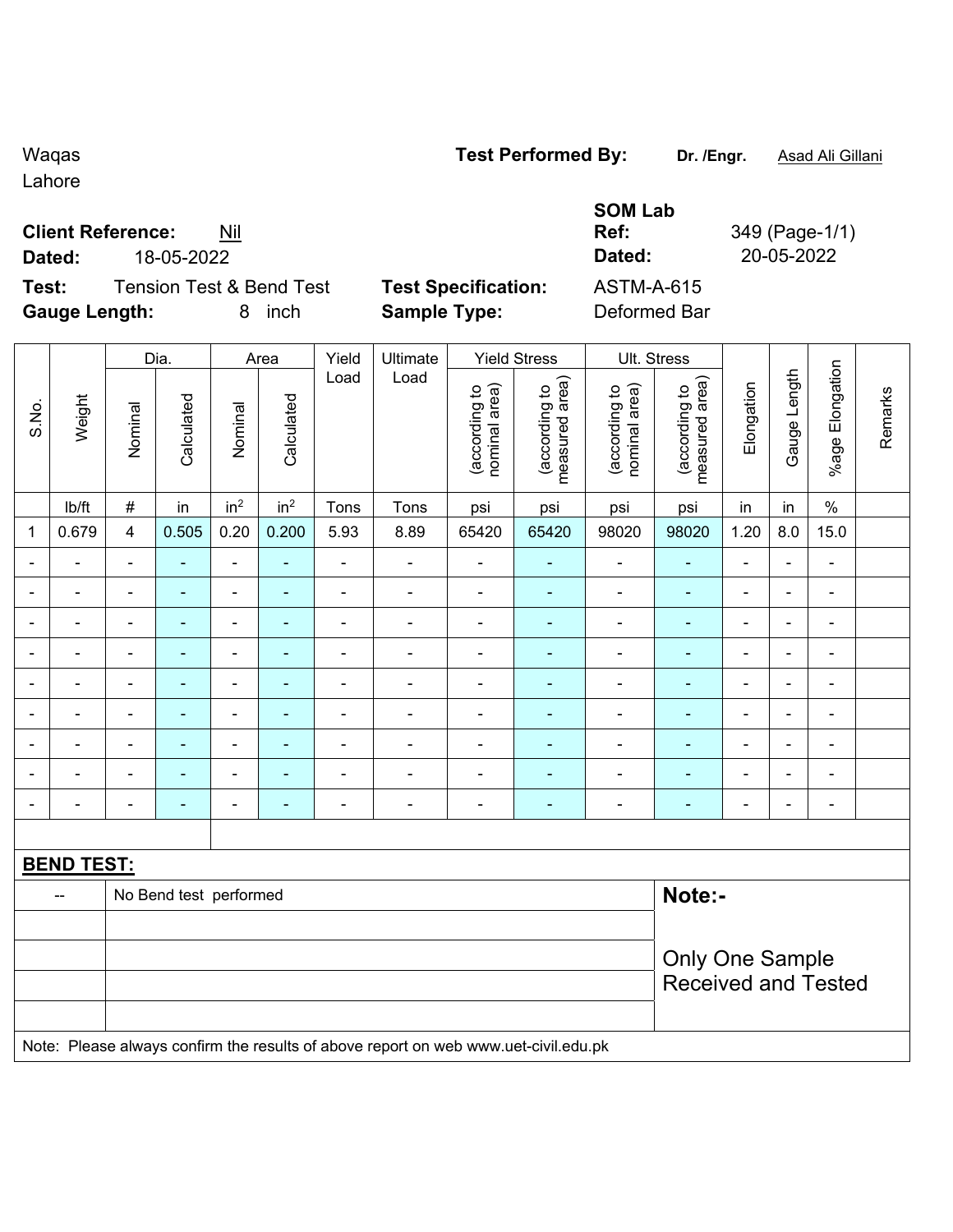Lahore

# **Client Reference:** Nil

**Test:** Tension Test & Bend Test **Test Specification:** ASTM-A-615 **Gauge Length:** 8 inch **Sample Type:** Deformed Bar

|               | U |
|---------------|---|
| pecification: |   |

**SOM Lab Ref:** 349 (Page-1/1) **Dated:** 18-05-2022 **Dated:** 20-05-2022

|                          |                              |                | Dia.                     |                 | Area            | Yield          | Ultimate                                                                            |                                               | <b>Yield Stress</b>             |                                | Ult. Stress                     |                          |                |                          |         |
|--------------------------|------------------------------|----------------|--------------------------|-----------------|-----------------|----------------|-------------------------------------------------------------------------------------|-----------------------------------------------|---------------------------------|--------------------------------|---------------------------------|--------------------------|----------------|--------------------------|---------|
| S.No.                    | Weight                       | Nominal        | Calculated               | Nominal         | Calculated      | Load           | Load                                                                                | nominal area)<br>(according to                | (according to<br>measured area) | (according to<br>nominal area) | (according to<br>measured area) | Elongation               | Gauge Length   | Elongation<br>$%$ age    | Remarks |
|                          | lb/ft                        | $\#$           | in                       | in <sup>2</sup> | in <sup>2</sup> | Tons           | Tons                                                                                | psi                                           | psi                             | psi                            | psi                             | in                       | in             | $\%$                     |         |
| 1                        | 0.679                        | $\overline{4}$ | 0.505                    | 0.20            | 0.200           | 5.93           | 8.89                                                                                | 65420                                         | 65420                           | 98020                          | 98020                           | 1.20                     | $8.0\,$        | 15.0                     |         |
| $\overline{\phantom{0}}$ | ÷,                           | $\blacksquare$ | $\frac{1}{2}$            | ÷               | ÷               | $\blacksquare$ | $\blacksquare$                                                                      | $\blacksquare$                                | $\blacksquare$                  | $\blacksquare$                 | $\blacksquare$                  | $\overline{\phantom{a}}$ | $\blacksquare$ | $\blacksquare$           |         |
| $\blacksquare$           | $\blacksquare$               | $\blacksquare$ | ٠                        | $\blacksquare$  | ÷               | $\blacksquare$ | $\overline{\phantom{a}}$                                                            | $\blacksquare$                                | $\blacksquare$                  | $\blacksquare$                 | $\blacksquare$                  | $\blacksquare$           | $\blacksquare$ | $\blacksquare$           |         |
|                          | $\blacksquare$               | $\blacksquare$ | $\blacksquare$           | ÷               | ٠               | $\blacksquare$ | ÷                                                                                   | $\blacksquare$                                | $\blacksquare$                  | ä,                             | $\blacksquare$                  | $\blacksquare$           |                | $\blacksquare$           |         |
|                          | $\blacksquare$               | $\blacksquare$ | $\blacksquare$           | ÷,              | ۰               | $\blacksquare$ | $\frac{1}{2}$                                                                       | $\blacksquare$                                | $\blacksquare$                  | $\blacksquare$                 | $\blacksquare$                  | $\blacksquare$           | $\blacksquare$ | $\blacksquare$           |         |
|                          | $\blacksquare$               |                | $\overline{\phantom{0}}$ | $\blacksquare$  |                 | $\blacksquare$ | $\overline{a}$                                                                      | $\blacksquare$                                | $\overline{a}$                  | ä,                             | $\blacksquare$                  | $\blacksquare$           |                | $\blacksquare$           |         |
|                          |                              |                | ۰                        | $\blacksquare$  |                 | $\blacksquare$ | ÷                                                                                   | $\blacksquare$                                | $\blacksquare$                  | $\blacksquare$                 |                                 |                          |                | $\blacksquare$           |         |
| $\blacksquare$           | $\blacksquare$               | $\blacksquare$ | $\blacksquare$           | ÷,              | ٠               | $\blacksquare$ | $\blacksquare$                                                                      | $\blacksquare$                                | $\blacksquare$                  | ÷                              | ä,                              | $\blacksquare$           | $\blacksquare$ | $\overline{\phantom{a}}$ |         |
|                          | $\blacksquare$               | $\blacksquare$ | ۰                        | ÷,              | ٠               | $\blacksquare$ | $\blacksquare$                                                                      | $\blacksquare$                                | $\blacksquare$                  | $\blacksquare$                 | ä,                              | $\blacksquare$           |                | $\blacksquare$           |         |
|                          | $\blacksquare$               | $\blacksquare$ | ÷,                       | ÷               |                 | $\blacksquare$ | $\blacksquare$                                                                      | $\blacksquare$                                | ÷                               | $\blacksquare$                 | $\blacksquare$                  | $\blacksquare$           |                | $\blacksquare$           |         |
|                          |                              |                |                          |                 |                 |                |                                                                                     |                                               |                                 |                                |                                 |                          |                |                          |         |
|                          | <b>BEND TEST:</b>            |                |                          |                 |                 |                |                                                                                     |                                               |                                 |                                |                                 |                          |                |                          |         |
|                          | No Bend test performed<br>-- |                |                          |                 |                 |                |                                                                                     | Note:-                                        |                                 |                                |                                 |                          |                |                          |         |
|                          |                              |                |                          |                 |                 |                |                                                                                     |                                               |                                 |                                |                                 |                          |                |                          |         |
|                          |                              |                |                          |                 |                 |                |                                                                                     | Only One Sample<br><b>Received and Tested</b> |                                 |                                |                                 |                          |                |                          |         |
|                          |                              |                |                          |                 |                 |                | Note: Please always confirm the results of above report on web www.uet-civil.edu.pk |                                               |                                 |                                |                                 |                          |                |                          |         |

Waqas **Test Performed By:** Dr. /Engr. **Asad Ali Gillani** Calculari Dr. /Engr. **Asad Ali Gillani**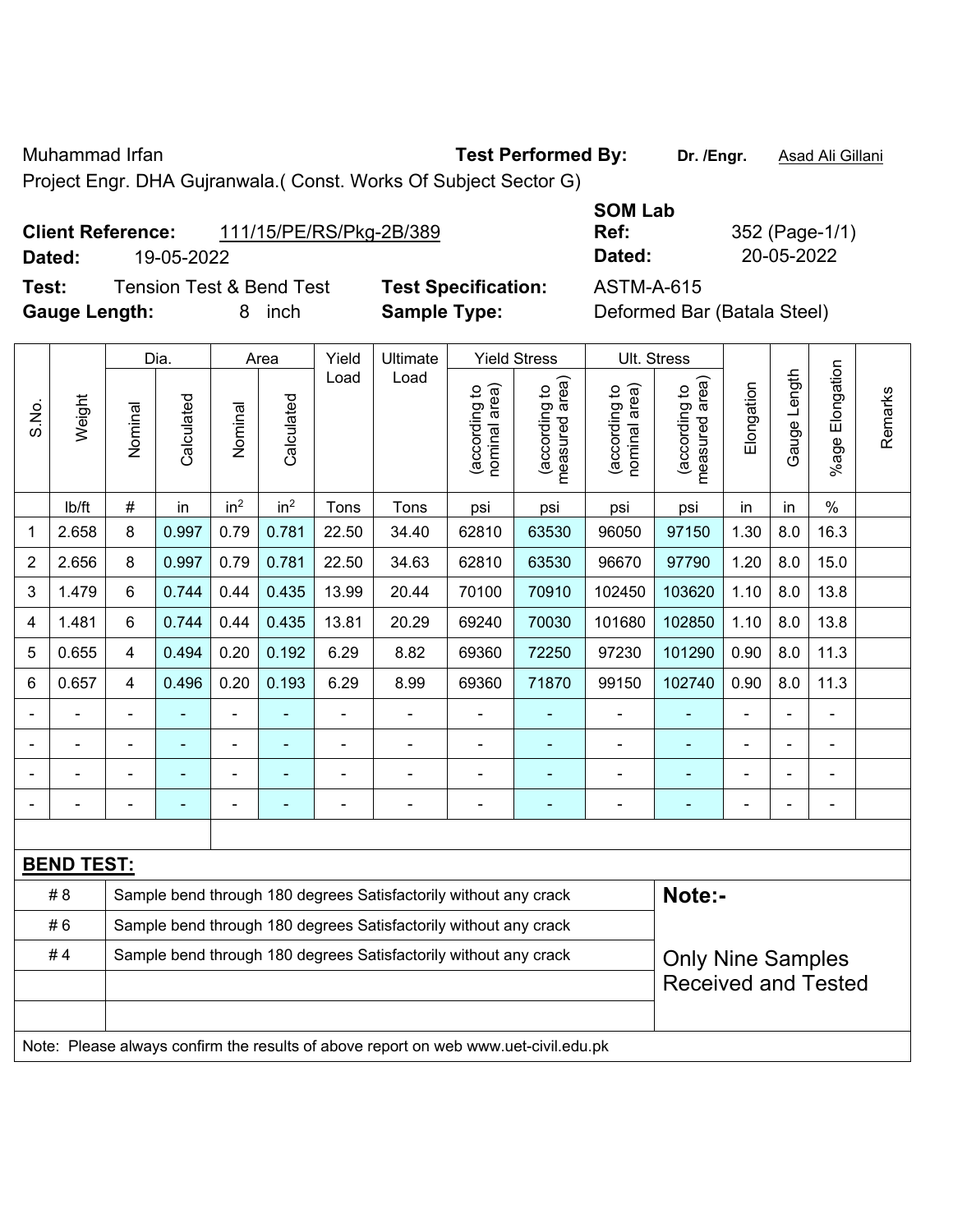Muhammad Irfan **Test Performed By: Dr. /Engr.** Asad Ali Gillani

Project Engr. DHA Gujranwala.( Const. Works Of Subject Sector G)

| <b>Client Reference:</b> |            | 111/15/PE/RS/Pkg-2B/389 | Ref:   | 352 (Page-1/ |
|--------------------------|------------|-------------------------|--------|--------------|
| Dated:                   | 19-05-2022 |                         | Dated: | 20-05-2022   |

**Test:** Tension Test & Bend Test **Test Specification:** ASTM-A-615 Gauge Length: **8** inch **Sample Type:** Definition

**SOM Lab Ref:** 352 (Page-1/1)

|  | Deformed Bar (Batala Steel) |
|--|-----------------------------|
|--|-----------------------------|

|                                                                        |                                                                        |                         | Dia.       |                 | Area            | Yield | Ultimate                                                                            |                                | <b>Yield Stress</b>             |                                | Ult. Stress                     |                |                |                           |         |
|------------------------------------------------------------------------|------------------------------------------------------------------------|-------------------------|------------|-----------------|-----------------|-------|-------------------------------------------------------------------------------------|--------------------------------|---------------------------------|--------------------------------|---------------------------------|----------------|----------------|---------------------------|---------|
| S.No.                                                                  | Weight                                                                 | Nominal                 | Calculated | Nominal         | Calculated      | Load  | Load                                                                                | nominal area)<br>(according to | measured area)<br>(according to | nominal area)<br>(according to | measured area)<br>(according to | Elongation     | Gauge Length   | Elongation<br>$%$ age $ $ | Remarks |
|                                                                        | lb/ft                                                                  | $\#$                    | in         | in <sup>2</sup> | in <sup>2</sup> | Tons  | Tons                                                                                | psi                            | psi                             | psi                            | psi                             | in             | in             | $\%$                      |         |
| 1                                                                      | 2.658                                                                  | 8                       | 0.997      | 0.79            | 0.781           | 22.50 | 34.40                                                                               | 62810                          | 63530                           | 96050                          | 97150                           | 1.30           | 8.0            | 16.3                      |         |
| $\overline{2}$                                                         | 2.656                                                                  | 8                       | 0.997      | 0.79            | 0.781           | 22.50 | 34.63                                                                               | 62810                          | 63530                           | 96670                          | 97790                           | 1.20           | 8.0            | 15.0                      |         |
| 3                                                                      | 1.479                                                                  | $6\phantom{a}$          | 0.744      | 0.44            | 0.435           | 13.99 | 20.44                                                                               | 70100                          | 70910                           | 102450                         | 103620                          | 1.10           | 8.0            | 13.8                      |         |
| 4                                                                      | 1.481                                                                  | $6\phantom{1}$          | 0.744      | 0.44            | 0.435           | 13.81 | 20.29                                                                               | 69240                          | 70030                           | 101680                         | 102850                          | 1.10           | 8.0            | 13.8                      |         |
| 5                                                                      | 0.655                                                                  | $\overline{\mathbf{4}}$ | 0.494      | 0.20            | 0.192           | 6.29  | 8.82                                                                                | 69360                          | 72250                           | 97230                          | 101290                          | 0.90           | 8.0            | 11.3                      |         |
| 6                                                                      | 0.657                                                                  | $\overline{4}$          | 0.496      | 0.20            | 0.193           | 6.29  | 8.99                                                                                | 69360                          | 71870                           | 99150                          | 102740                          | 0.90           | 8.0            | 11.3                      |         |
|                                                                        |                                                                        |                         |            |                 |                 |       |                                                                                     |                                |                                 | L,                             |                                 |                |                |                           |         |
|                                                                        |                                                                        |                         |            | $\blacksquare$  |                 | ä,    | $\blacksquare$                                                                      |                                |                                 | -                              |                                 |                |                |                           |         |
|                                                                        |                                                                        |                         |            | ۰               |                 |       |                                                                                     |                                |                                 | $\blacksquare$                 |                                 |                |                |                           |         |
|                                                                        |                                                                        |                         |            | $\blacksquare$  | ۰               | ä,    | $\blacksquare$                                                                      | Ē,                             |                                 | ä,                             | ÷                               | $\blacksquare$ | $\blacksquare$ | ÷                         |         |
|                                                                        |                                                                        |                         |            |                 |                 |       |                                                                                     |                                |                                 |                                |                                 |                |                |                           |         |
|                                                                        | <b>BEND TEST:</b>                                                      |                         |            |                 |                 |       |                                                                                     |                                |                                 |                                |                                 |                |                |                           |         |
|                                                                        | # 8                                                                    |                         |            |                 |                 |       | Sample bend through 180 degrees Satisfactorily without any crack                    |                                |                                 |                                | Note:-                          |                |                |                           |         |
|                                                                        | #6<br>Sample bend through 180 degrees Satisfactorily without any crack |                         |            |                 |                 |       |                                                                                     |                                |                                 |                                |                                 |                |                |                           |         |
| #4<br>Sample bend through 180 degrees Satisfactorily without any crack |                                                                        |                         |            |                 |                 |       |                                                                                     | <b>Only Nine Samples</b>       |                                 |                                |                                 |                |                |                           |         |
|                                                                        |                                                                        |                         |            |                 |                 |       | <b>Received and Tested</b>                                                          |                                |                                 |                                |                                 |                |                |                           |         |
|                                                                        |                                                                        |                         |            |                 |                 |       |                                                                                     |                                |                                 |                                |                                 |                |                |                           |         |
|                                                                        |                                                                        |                         |            |                 |                 |       | Note: Please always confirm the results of above report on web www.uet-civil.edu.pk |                                |                                 |                                |                                 |                |                |                           |         |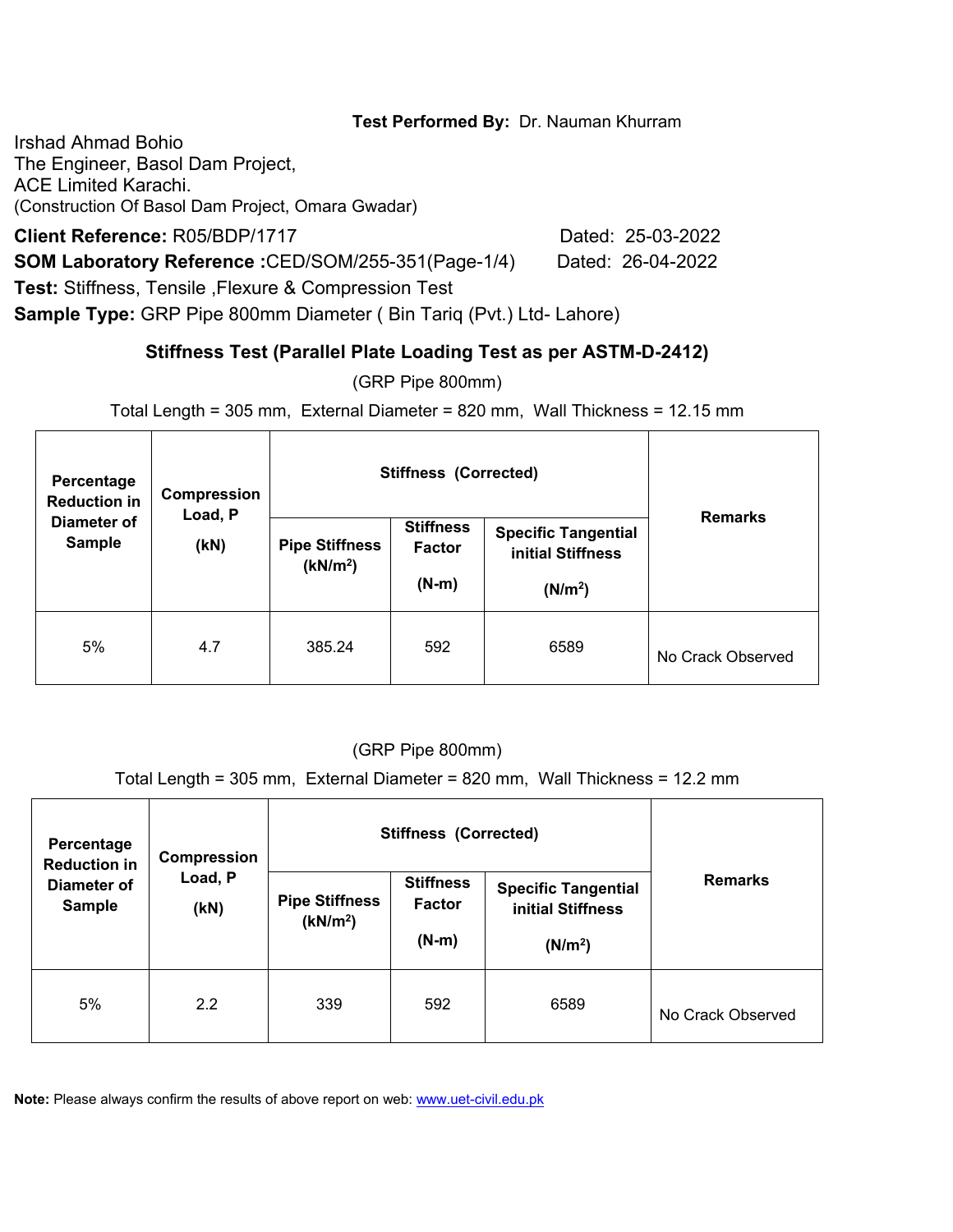Irshad Ahmad Bohio The Engineer, Basol Dam Project, ACE Limited Karachi. (Construction Of Basol Dam Project, Omara Gwadar)

**Client Reference:** R05/BDP/1717 Dated: 25-03-2022

**SOM Laboratory Reference :**CED/SOM/255-351(Page-1/4) Dated: 26-04-2022

**Test:** Stiffness, Tensile ,Flexure & Compression Test

**Sample Type:** GRP Pipe 800mm Diameter ( Bin Tariq (Pvt.) Ltd- Lahore)

# **Stiffness Test (Parallel Plate Loading Test as per ASTM-D-2412)**

(GRP Pipe 800mm)

Total Length = 305 mm, External Diameter = 820 mm, Wall Thickness = 12.15 mm

| Percentage<br><b>Reduction in</b> | Compression<br>Load, P |                                               | <b>Stiffness (Corrected)</b>                 |                                                                        |                   |  |  |
|-----------------------------------|------------------------|-----------------------------------------------|----------------------------------------------|------------------------------------------------------------------------|-------------------|--|--|
| Diameter of<br><b>Sample</b>      | (KN)                   | <b>Pipe Stiffness</b><br>(kN/m <sup>2</sup> ) | <b>Stiffness</b><br><b>Factor</b><br>$(N-m)$ | <b>Specific Tangential</b><br>initial Stiffness<br>(N/m <sup>2</sup> ) | <b>Remarks</b>    |  |  |
| 5%                                | 4.7                    | 385.24                                        | 592                                          | 6589                                                                   | No Crack Observed |  |  |

### (GRP Pipe 800mm)

Total Length = 305 mm, External Diameter = 820 mm, Wall Thickness = 12.2 mm

| Percentage<br><b>Reduction in</b> | Compression     |                                               | <b>Stiffness (Corrected)</b>                 |                                                                        |                   |
|-----------------------------------|-----------------|-----------------------------------------------|----------------------------------------------|------------------------------------------------------------------------|-------------------|
| Diameter of<br><b>Sample</b>      | Load, P<br>(KN) | <b>Pipe Stiffness</b><br>(kN/m <sup>2</sup> ) | <b>Stiffness</b><br><b>Factor</b><br>$(N-m)$ | <b>Specific Tangential</b><br>initial Stiffness<br>(N/m <sup>2</sup> ) | <b>Remarks</b>    |
| 5%                                | 2.2             | 339                                           | 592                                          | 6589                                                                   | No Crack Observed |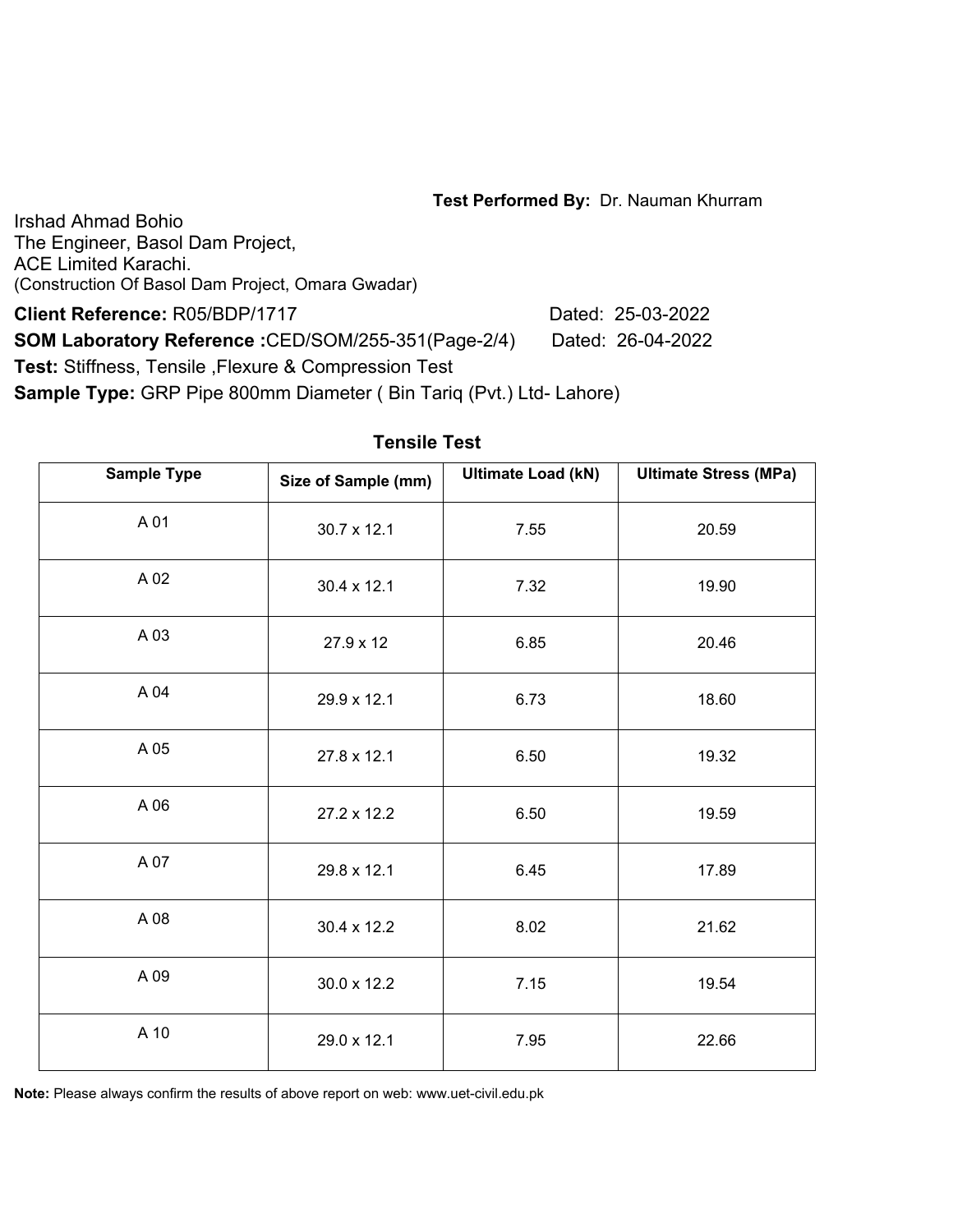Irshad Ahmad Bohio The Engineer, Basol Dam Project, ACE Limited Karachi. (Construction Of Basol Dam Project, Omara Gwadar)

**Client Reference:** R05/BDP/1717 Dated: 25-03-2022 **SOM Laboratory Reference :**CED/SOM/255-351(Page-2/4) Dated: 26-04-2022 **Test:** Stiffness, Tensile ,Flexure & Compression Test **Sample Type:** GRP Pipe 800mm Diameter ( Bin Tariq (Pvt.) Ltd- Lahore)

| <b>Sample Type</b> | Size of Sample (mm) | <b>Ultimate Load (kN)</b> | <b>Ultimate Stress (MPa)</b> |
|--------------------|---------------------|---------------------------|------------------------------|
| A 01               | 30.7 x 12.1         | 7.55                      | 20.59                        |
| A 02               | 30.4 x 12.1         | 7.32                      | 19.90                        |
| A 03               | 27.9 x 12           | 6.85                      | 20.46                        |
| A 04               | 29.9 x 12.1         | 6.73                      | 18.60                        |
| A 05               | 27.8 x 12.1         | 6.50                      | 19.32                        |
| A 06               | 27.2 x 12.2         | 6.50                      | 19.59                        |
| A 07               | 29.8 x 12.1         | 6.45                      | 17.89                        |
| A 08               | 30.4 x 12.2         | 8.02                      | 21.62                        |
| A 09               | 30.0 x 12.2         | 7.15                      | 19.54                        |
| A 10               | 29.0 x 12.1         | 7.95                      | 22.66                        |

#### **Tensile Test**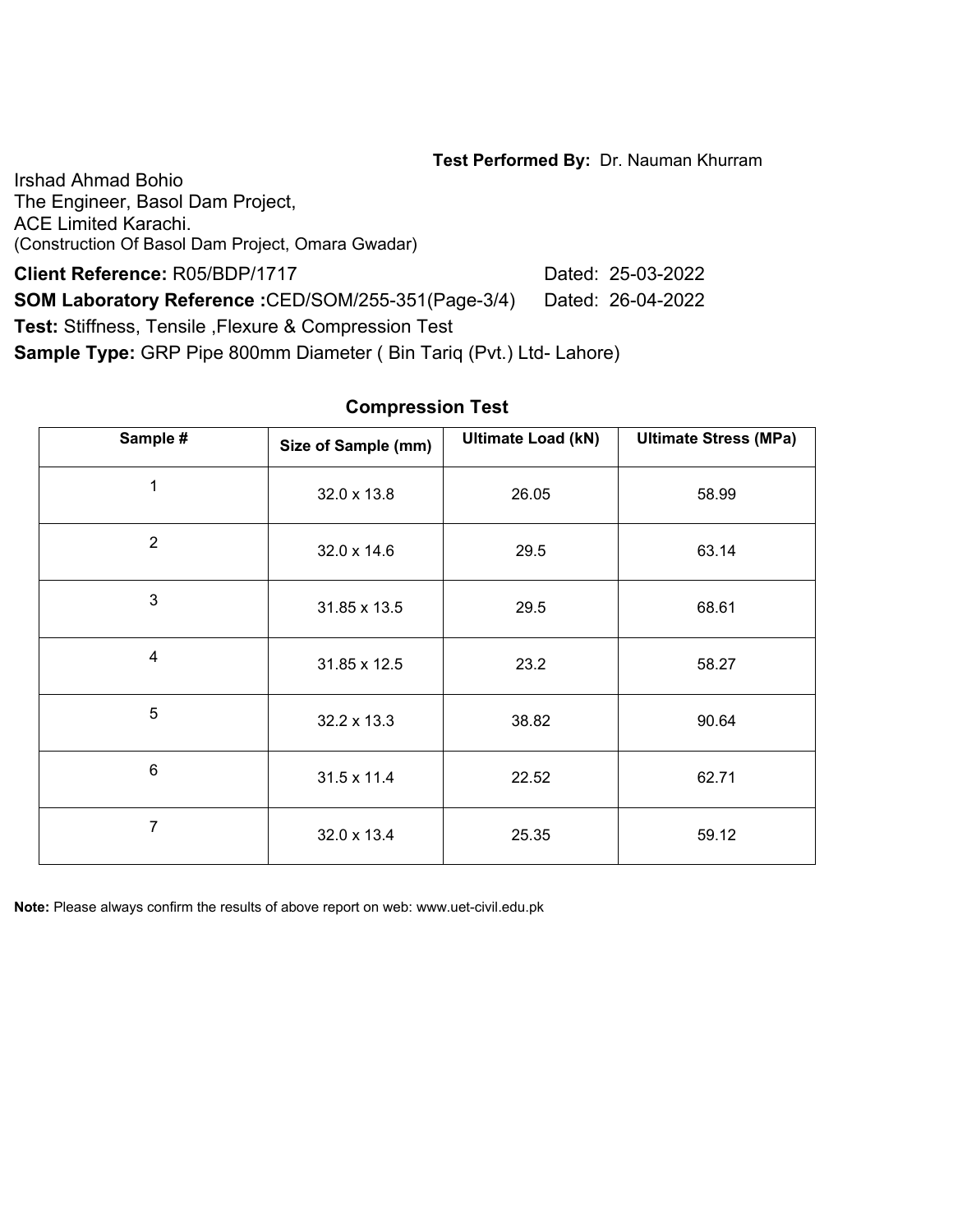Irshad Ahmad Bohio The Engineer, Basol Dam Project, ACE Limited Karachi. (Construction Of Basol Dam Project, Omara Gwadar)

**Client Reference:** R05/BDP/1717 Dated: 25-03-2022 **SOM Laboratory Reference :**CED/SOM/255-351(Page-3/4) Dated: 26-04-2022

**Test:** Stiffness, Tensile ,Flexure & Compression Test

**Sample Type:** GRP Pipe 800mm Diameter ( Bin Tariq (Pvt.) Ltd- Lahore)

| Sample #       | Size of Sample (mm) | <b>Ultimate Load (kN)</b> | <b>Ultimate Stress (MPa)</b> |
|----------------|---------------------|---------------------------|------------------------------|
| 1              | 32.0 x 13.8         | 26.05                     | 58.99                        |
| $\overline{2}$ | 32.0 x 14.6         | 29.5                      | 63.14                        |
| 3              | 31.85 x 13.5        | 29.5                      | 68.61                        |
| 4              | 31.85 x 12.5        | 23.2                      | 58.27                        |
| 5              | 32.2 x 13.3         | 38.82                     | 90.64                        |
| $6\phantom{a}$ | 31.5 x 11.4         | 22.52                     | 62.71                        |
| 7              | 32.0 x 13.4         | 25.35                     | 59.12                        |

#### **Compression Test**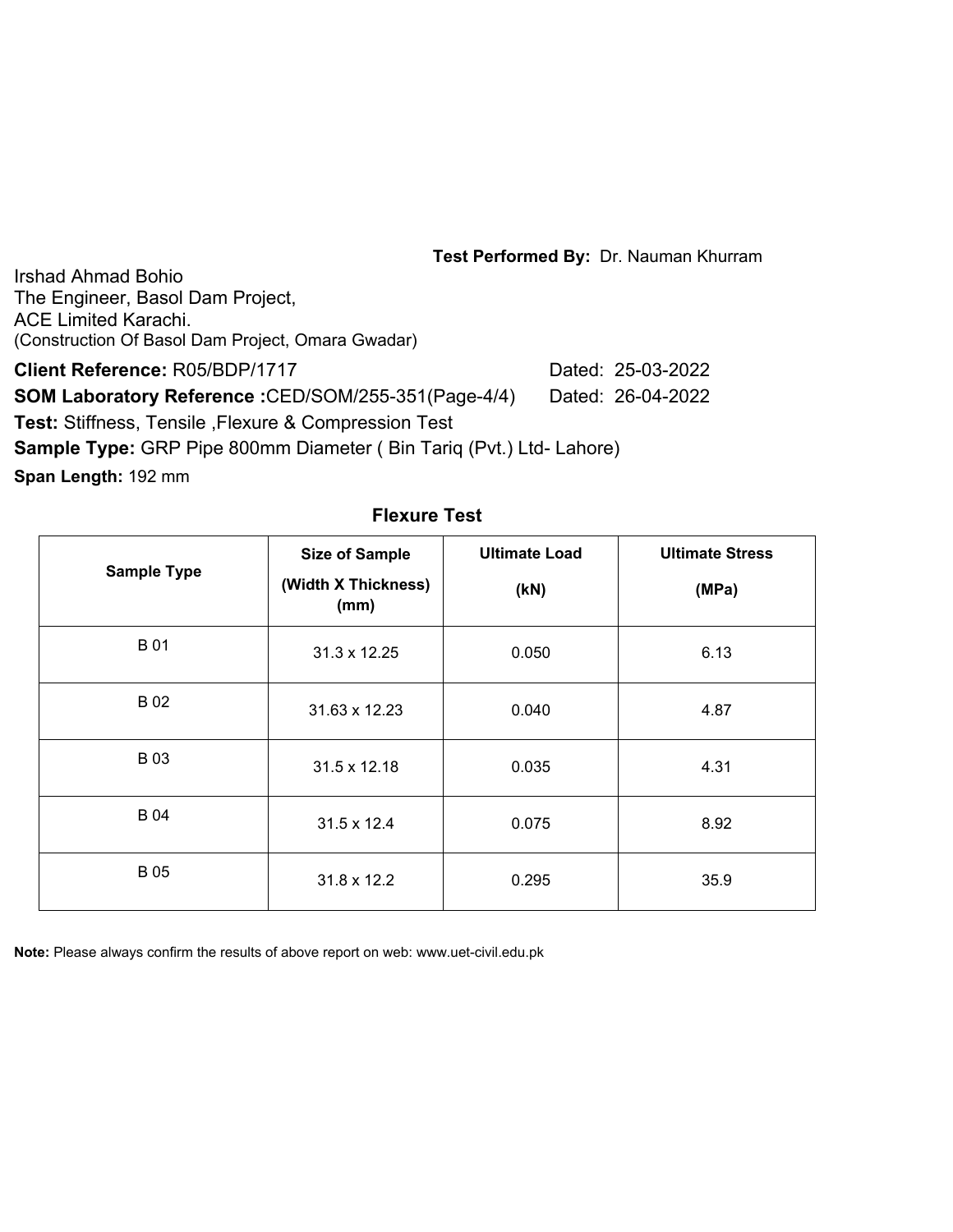Irshad Ahmad Bohio The Engineer, Basol Dam Project, ACE Limited Karachi. (Construction Of Basol Dam Project, Omara Gwadar)

**Client Reference:** R05/BDP/1717 Dated: 25-03-2022

**SOM Laboratory Reference :**CED/SOM/255-351(Page-4/4) Dated: 26-04-2022

**Test:** Stiffness, Tensile ,Flexure & Compression Test

**Sample Type:** GRP Pipe 800mm Diameter ( Bin Tariq (Pvt.) Ltd- Lahore)

**Span Length:** 192 mm

| <b>Sample Type</b> | <b>Size of Sample</b><br>(Width X Thickness)<br>(mm) | <b>Ultimate Load</b><br>(KN) | <b>Ultimate Stress</b><br>(MPa) |  |
|--------------------|------------------------------------------------------|------------------------------|---------------------------------|--|
| <b>B01</b>         | 31.3 x 12.25                                         | 0.050                        | 6.13                            |  |
| <b>B02</b>         | 31.63 x 12.23                                        | 0.040                        | 4.87                            |  |
| <b>B03</b>         | 31.5 x 12.18                                         | 0.035                        | 4.31                            |  |
| <b>B04</b>         | 31.5 x 12.4                                          | 0.075                        | 8.92                            |  |
| <b>B05</b>         | 31.8 x 12.2                                          | 0.295                        | 35.9                            |  |

**Flexure Test**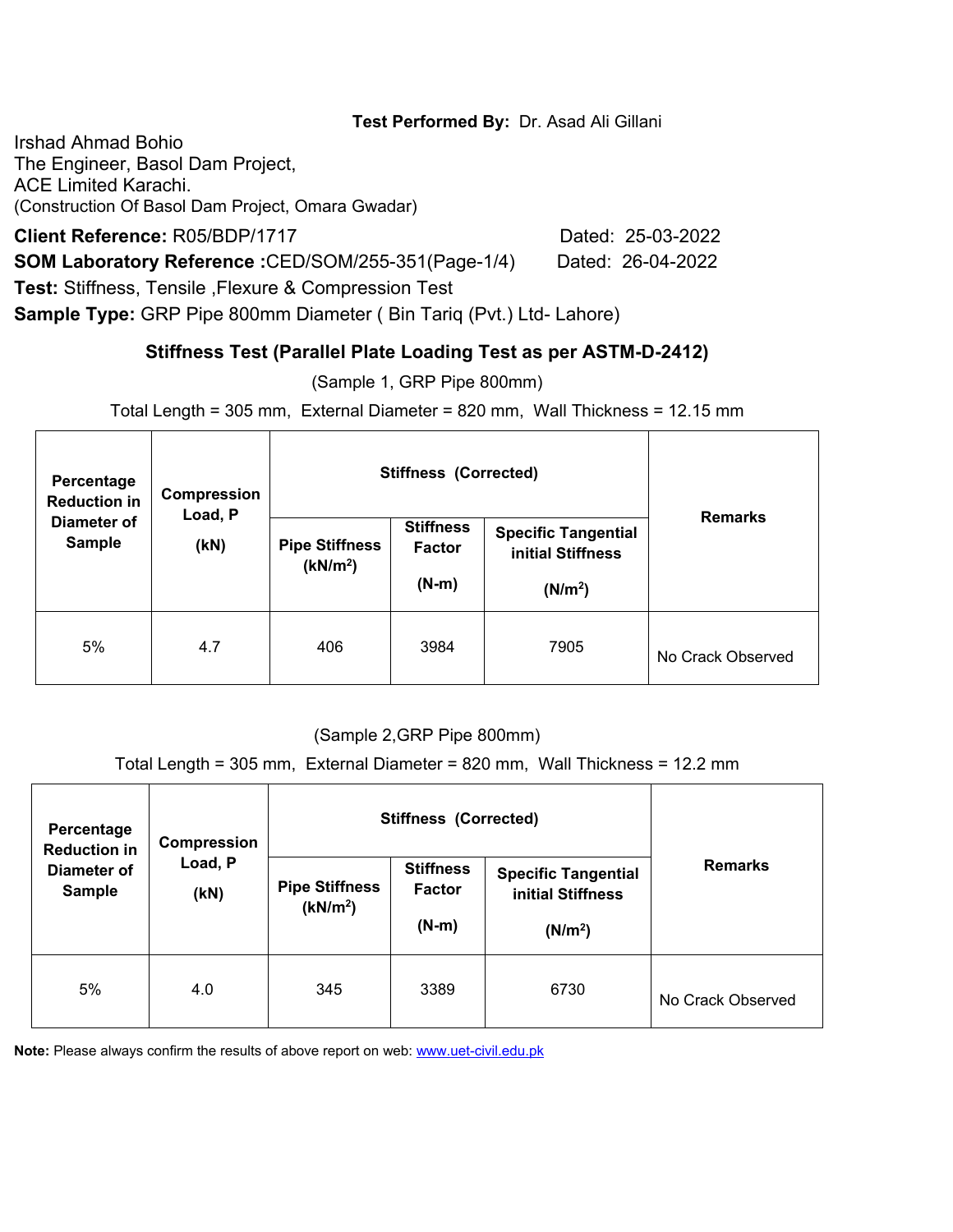### **Test Performed By:** Dr. Asad Ali Gillani

Irshad Ahmad Bohio The Engineer, Basol Dam Project, ACE Limited Karachi. (Construction Of Basol Dam Project, Omara Gwadar)

**Client Reference:** R05/BDP/1717 Dated: 25-03-2022

**SOM Laboratory Reference :**CED/SOM/255-351(Page-1/4) Dated: 26-04-2022

**Test:** Stiffness, Tensile ,Flexure & Compression Test

**Sample Type:** GRP Pipe 800mm Diameter ( Bin Tariq (Pvt.) Ltd- Lahore)

# **Stiffness Test (Parallel Plate Loading Test as per ASTM-D-2412)**

(Sample 1, GRP Pipe 800mm)

Total Length = 305 mm, External Diameter = 820 mm, Wall Thickness = 12.15 mm

| Percentage<br><b>Reduction in</b> | Compression<br>Load, P |                                               | <b>Stiffness (Corrected)</b>                 |                                                                        | <b>Remarks</b>    |
|-----------------------------------|------------------------|-----------------------------------------------|----------------------------------------------|------------------------------------------------------------------------|-------------------|
| Diameter of<br><b>Sample</b>      | (kN)                   | <b>Pipe Stiffness</b><br>(kN/m <sup>2</sup> ) | <b>Stiffness</b><br><b>Factor</b><br>$(N-m)$ | <b>Specific Tangential</b><br>initial Stiffness<br>(N/m <sup>2</sup> ) |                   |
| 5%                                | 4.7                    | 406                                           | 3984                                         | 7905                                                                   | No Crack Observed |

### (Sample 2,GRP Pipe 800mm)

Total Length = 305 mm, External Diameter = 820 mm, Wall Thickness = 12.2 mm

| Percentage<br><b>Reduction in</b> | Compression     |                                               | <b>Stiffness (Corrected)</b>                 |                                                                        |                   |
|-----------------------------------|-----------------|-----------------------------------------------|----------------------------------------------|------------------------------------------------------------------------|-------------------|
| Diameter of<br><b>Sample</b>      | Load, P<br>(KN) | <b>Pipe Stiffness</b><br>(kN/m <sup>2</sup> ) | <b>Stiffness</b><br><b>Factor</b><br>$(N-m)$ | <b>Specific Tangential</b><br>initial Stiffness<br>(N/m <sup>2</sup> ) | <b>Remarks</b>    |
| 5%                                | 4.0             | 345                                           | 3389                                         | 6730                                                                   | No Crack Observed |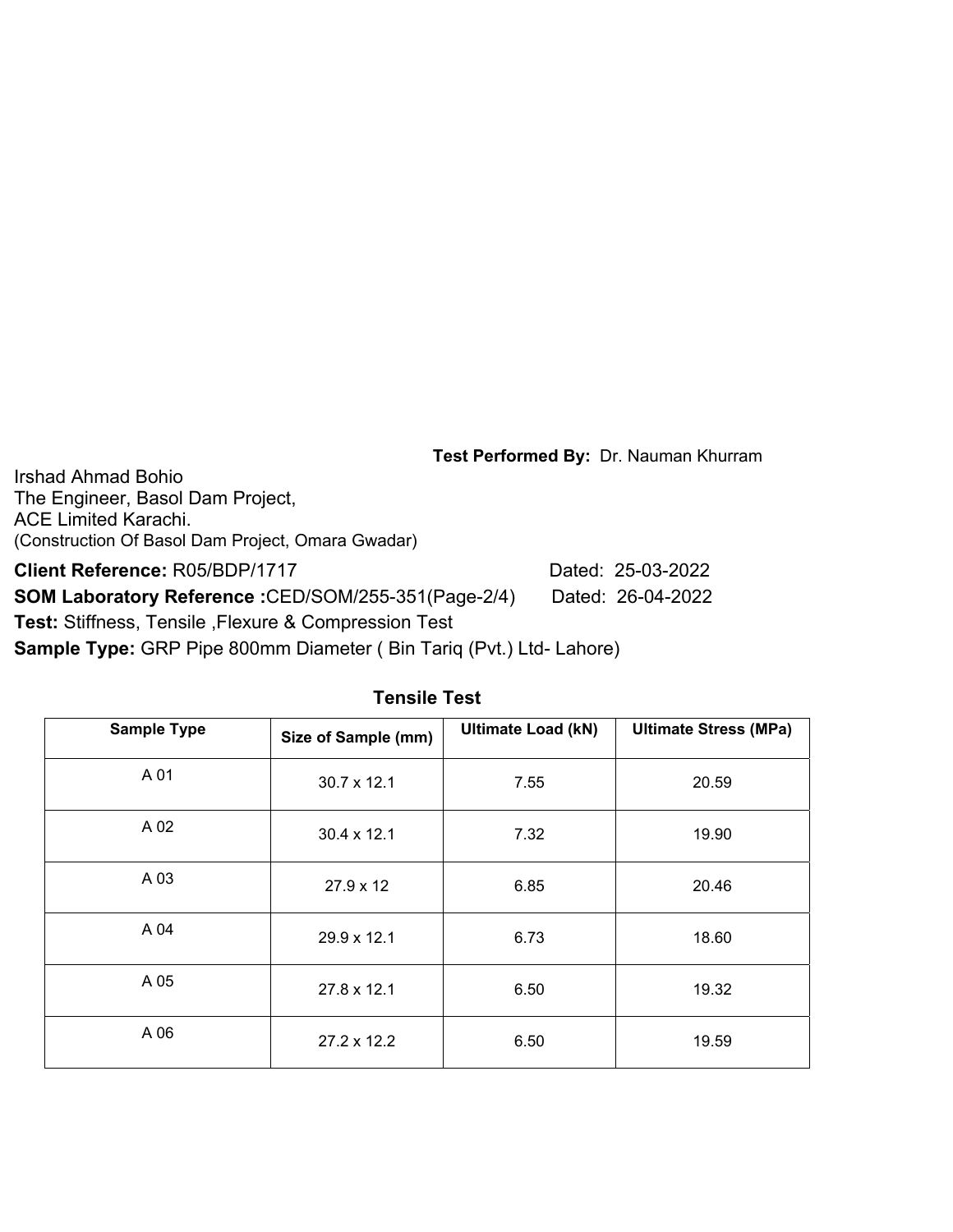Irshad Ahmad Bohio The Engineer, Basol Dam Project, ACE Limited Karachi. (Construction Of Basol Dam Project, Omara Gwadar)

**Client Reference:** R05/BDP/1717 Dated: 25-03-2022

**SOM Laboratory Reference :**CED/SOM/255-351(Page-2/4) Dated: 26-04-2022

**Test:** Stiffness, Tensile ,Flexure & Compression Test

**Sample Type:** GRP Pipe 800mm Diameter ( Bin Tariq (Pvt.) Ltd- Lahore)

| <b>Sample Type</b> | Size of Sample (mm) | <b>Ultimate Load (kN)</b> | <b>Ultimate Stress (MPa)</b> |  |
|--------------------|---------------------|---------------------------|------------------------------|--|
| A 01               | $30.7 \times 12.1$  | 7.55                      | 20.59                        |  |
| A 02               | $30.4 \times 12.1$  | 7.32                      | 19.90                        |  |
| A 03               | 27.9 x 12           | 6.85                      | 20.46                        |  |
| A 04               | 29.9 x 12.1         | 6.73                      | 18.60                        |  |
| A 05               | 27.8 x 12.1         | 6.50                      | 19.32                        |  |
| A 06               | $27.2 \times 12.2$  | 6.50                      | 19.59                        |  |

### **Tensile Test**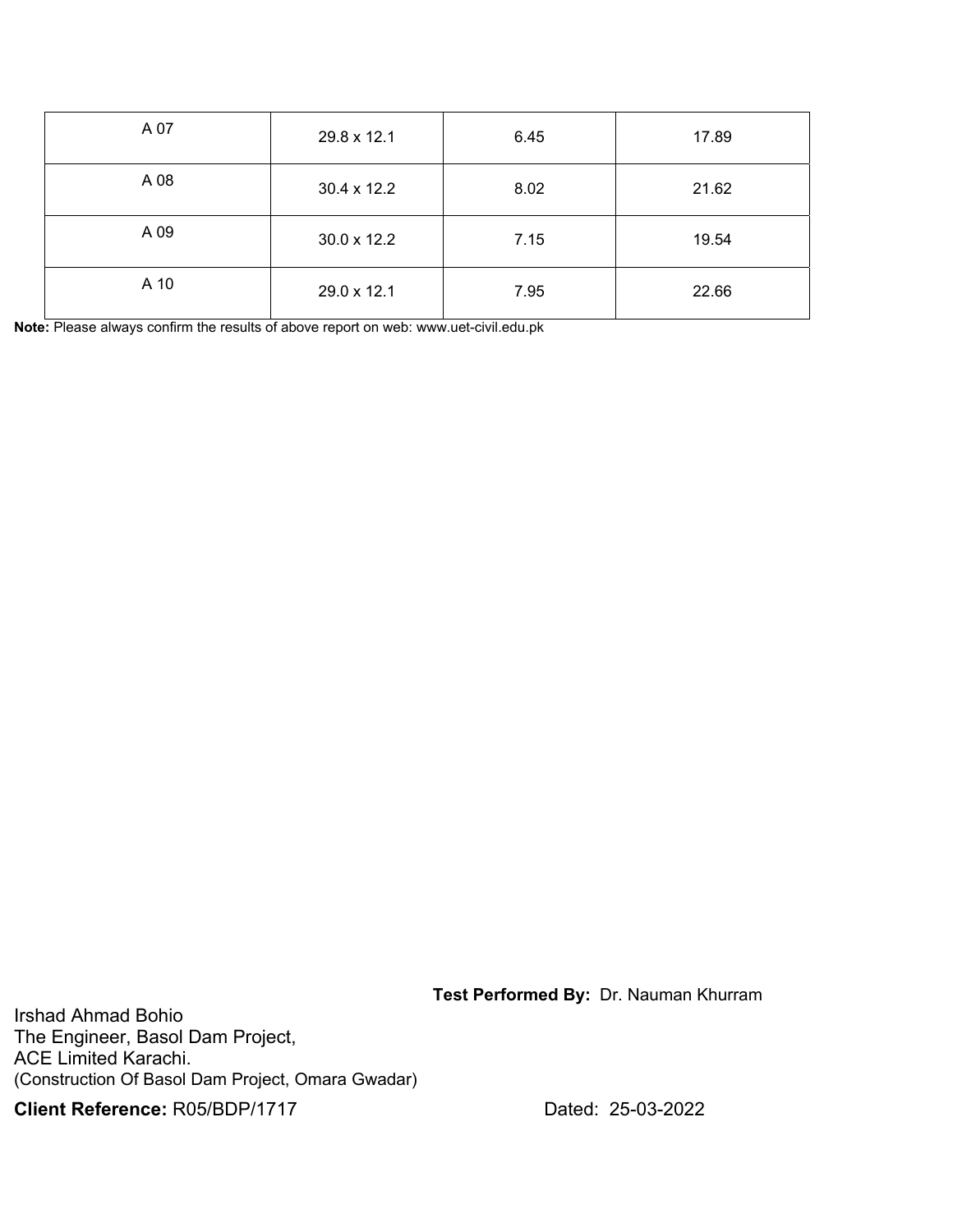| A 07 | 29.8 x 12.1 | 6.45 | 17.89 |  |
|------|-------------|------|-------|--|
| A 08 | 30.4 x 12.2 | 8.02 | 21.62 |  |
| A 09 | 30.0 x 12.2 | 7.15 | 19.54 |  |
| A 10 | 29.0 x 12.1 | 7.95 | 22.66 |  |

**Note:** Please always confirm the results of above report on web: www.uet-civil.edu.pk

 **Test Performed By:** Dr. Nauman Khurram

Irshad Ahmad Bohio The Engineer, Basol Dam Project, ACE Limited Karachi. (Construction Of Basol Dam Project, Omara Gwadar)

**Client Reference:** R05/BDP/1717 Dated: 25-03-2022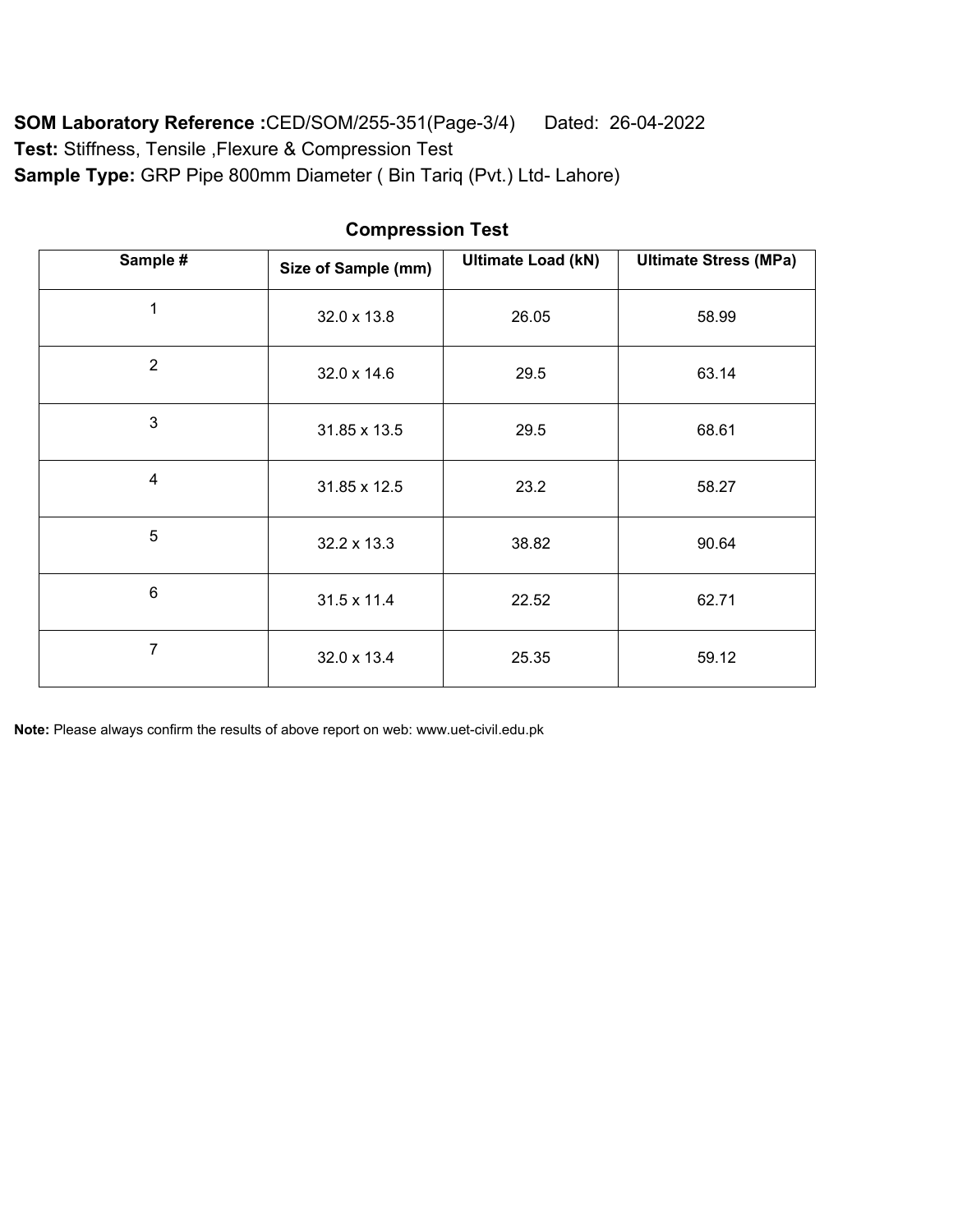**SOM Laboratory Reference :**CED/SOM/255-351(Page-3/4) Dated: 26-04-2022 **Test:** Stiffness, Tensile ,Flexure & Compression Test **Sample Type:** GRP Pipe 800mm Diameter ( Bin Tariq (Pvt.) Ltd- Lahore)

| Sample #                | Size of Sample (mm) | <b>Ultimate Load (kN)</b> | <b>Ultimate Stress (MPa)</b> |  |
|-------------------------|---------------------|---------------------------|------------------------------|--|
| 1                       | 32.0 x 13.8         | 26.05                     | 58.99                        |  |
| $\overline{2}$          | 32.0 x 14.6         | 29.5                      | 63.14                        |  |
| 3                       | 31.85 x 13.5        | 29.5                      | 68.61                        |  |
| $\overline{\mathbf{4}}$ | 31.85 x 12.5        | 23.2                      | 58.27                        |  |
| 5                       | 32.2 x 13.3         | 38.82                     | 90.64                        |  |
| 6                       | 31.5 x 11.4         | 22.52                     | 62.71                        |  |
| $\overline{7}$          | 32.0 x 13.4         | 25.35                     | 59.12                        |  |

## **Compression Test**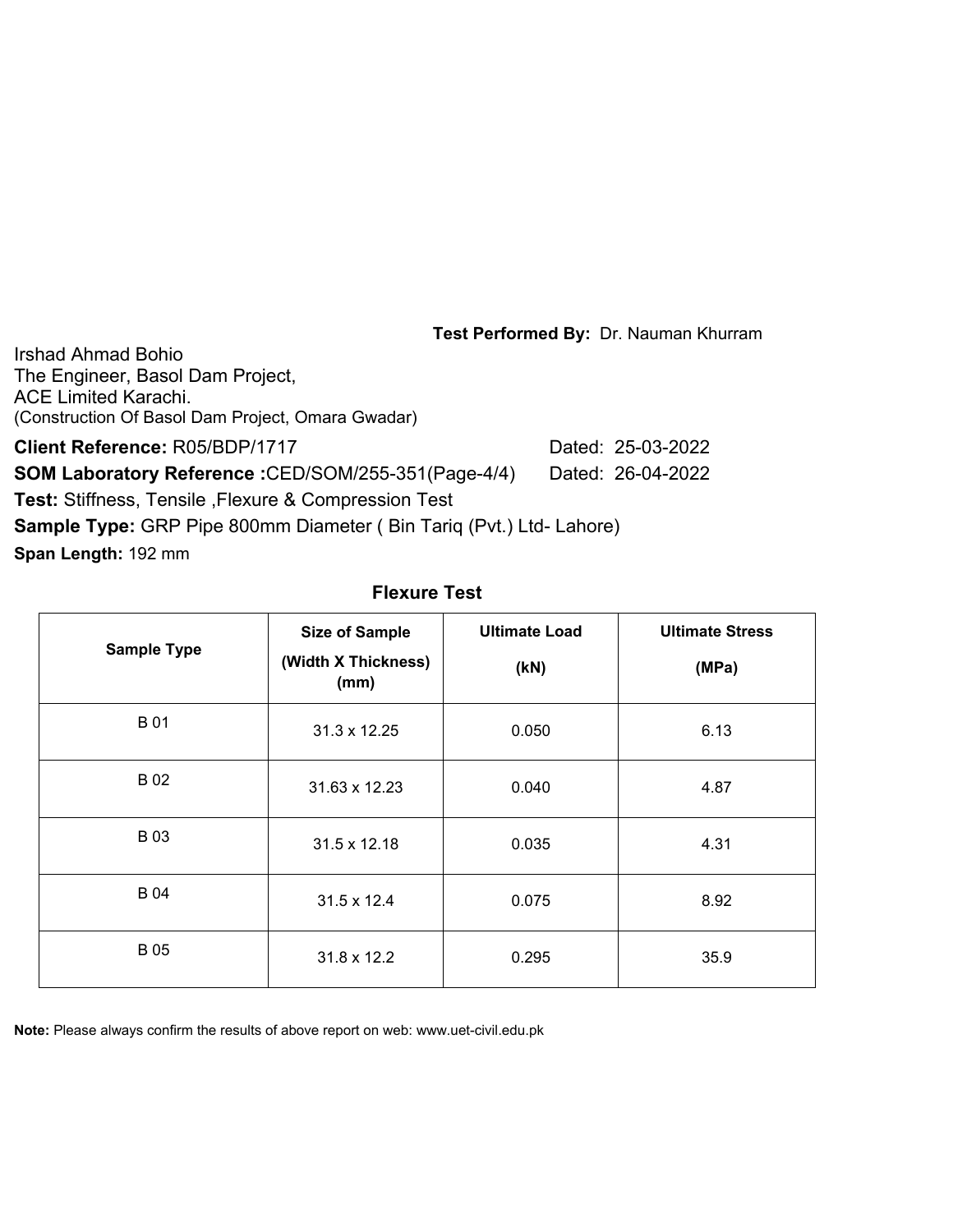Irshad Ahmad Bohio The Engineer, Basol Dam Project, ACE Limited Karachi. (Construction Of Basol Dam Project, Omara Gwadar)

**Client Reference:** R05/BDP/1717 Dated: 25-03-2022 **SOM Laboratory Reference :**CED/SOM/255-351(Page-4/4) Dated: 26-04-2022 **Test:** Stiffness, Tensile ,Flexure & Compression Test **Sample Type:** GRP Pipe 800mm Diameter ( Bin Tariq (Pvt.) Ltd- Lahore)

**Span Length:** 192 mm

| <b>Sample Type</b> | <b>Size of Sample</b><br>(Width X Thickness)<br>(mm) | <b>Ultimate Load</b><br>(KN) | <b>Ultimate Stress</b><br>(MPa) |  |
|--------------------|------------------------------------------------------|------------------------------|---------------------------------|--|
| <b>B01</b>         | 31.3 x 12.25                                         | 0.050                        | 6.13                            |  |
| <b>B02</b>         | 31.63 x 12.23                                        | 0.040                        | 4.87                            |  |
| <b>B03</b>         | 31.5 x 12.18                                         | 0.035                        | 4.31                            |  |
| <b>B04</b>         | 31.5 x 12.4                                          | 0.075                        | 8.92                            |  |
| <b>B05</b>         | 31.8 x 12.2                                          | 0.295                        | 35.9                            |  |

#### **Flexure Test**